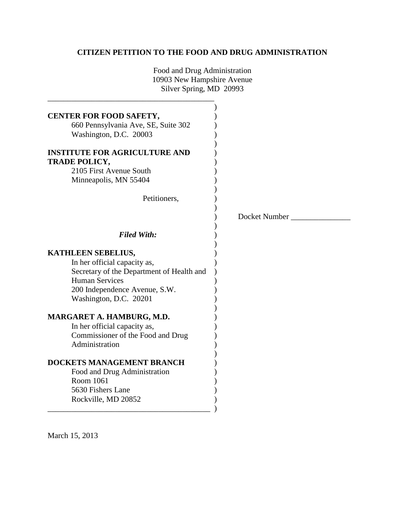# **CITIZEN PETITION TO THE FOOD AND DRUG ADMINISTRATION**

Food and Drug Administration 10903 New Hampshire Avenue Silver Spring, MD 20993

\_\_\_\_\_\_\_\_\_\_\_\_\_\_\_\_\_\_\_\_\_\_\_\_\_\_\_\_\_\_\_\_\_\_\_\_\_\_\_\_\_\_

| CENTER FOR FOOD SAFETY,<br>660 Pennsylvania Ave, SE, Suite 302<br>Washington, D.C. 20003<br><b>INSTITUTE FOR AGRICULTURE AND</b><br><b>TRADE POLICY,</b><br>2105 First Avenue South<br>Minneapolis, MN 55404<br>Petitioners, |               |
|------------------------------------------------------------------------------------------------------------------------------------------------------------------------------------------------------------------------------|---------------|
|                                                                                                                                                                                                                              | Docket Number |
| <b>Filed With:</b>                                                                                                                                                                                                           |               |
| KATHLEEN SEBELIUS,<br>In her official capacity as,<br>Secretary of the Department of Health and<br><b>Human Services</b><br>200 Independence Avenue, S.W.<br>Washington, D.C. 20201                                          |               |
| MARGARET A. HAMBURG, M.D.<br>In her official capacity as,<br>Commissioner of the Food and Drug<br>Administration                                                                                                             |               |
| <b>DOCKETS MANAGEMENT BRANCH</b><br>Food and Drug Administration<br>Room 1061<br>5630 Fishers Lane<br>Rockville, MD 20852                                                                                                    |               |

March 15, 2013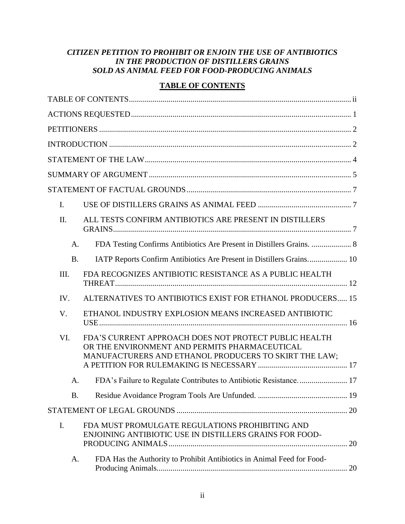# *CITIZEN PETITION TO PROHIBIT OR ENJOIN THE USE OF ANTIBIOTICS IN THE PRODUCTION OF DISTILLERS GRAINS SOLD AS ANIMAL FEED FOR FOOD-PRODUCING ANIMALS*

# **TABLE OF CONTENTS**

<span id="page-1-0"></span>

| $\mathbf{I}$ . |                                                                                                                                                                 |
|----------------|-----------------------------------------------------------------------------------------------------------------------------------------------------------------|
| II.            | ALL TESTS CONFIRM ANTIBIOTICS ARE PRESENT IN DISTILLERS                                                                                                         |
| A.             | FDA Testing Confirms Antibiotics Are Present in Distillers Grains.  8                                                                                           |
| <b>B.</b>      | IATP Reports Confirm Antibiotics Are Present in Distillers Grains 10                                                                                            |
| III.           | FDA RECOGNIZES ANTIBIOTIC RESISTANCE AS A PUBLIC HEALTH                                                                                                         |
| IV.            | ALTERNATIVES TO ANTIBIOTICS EXIST FOR ETHANOL PRODUCERS 15                                                                                                      |
| V.             | ETHANOL INDUSTRY EXPLOSION MEANS INCREASED ANTIBIOTIC                                                                                                           |
| VI.            | FDA'S CURRENT APPROACH DOES NOT PROTECT PUBLIC HEALTH<br>OR THE ENVIRONMENT AND PERMITS PHARMACEUTICAL<br>MANUFACTURERS AND ETHANOL PRODUCERS TO SKIRT THE LAW; |
| A.             |                                                                                                                                                                 |
| <b>B.</b>      |                                                                                                                                                                 |
|                |                                                                                                                                                                 |
| I.             | FDA MUST PROMULGATE REGULATIONS PROHIBITING AND<br>ENJOINING ANTIBIOTIC USE IN DISTILLERS GRAINS FOR FOOD-                                                      |
| A.             | FDA Has the Authority to Prohibit Antibiotics in Animal Feed for Food-                                                                                          |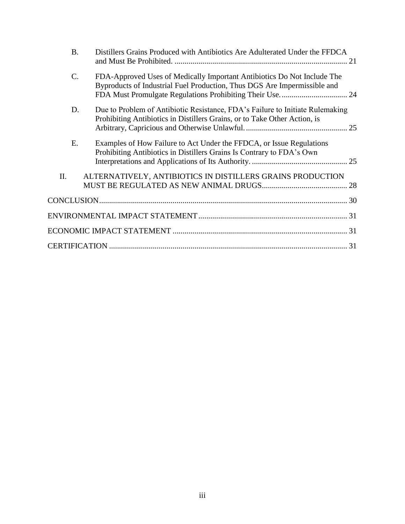| <b>B.</b> | Distillers Grains Produced with Antibiotics Are Adulterated Under the FFDCA                                                                                |  |
|-----------|------------------------------------------------------------------------------------------------------------------------------------------------------------|--|
| C.        | FDA-Approved Uses of Medically Important Antibiotics Do Not Include The<br>Byproducts of Industrial Fuel Production, Thus DGS Are Impermissible and        |  |
| D.        | Due to Problem of Antibiotic Resistance, FDA's Failure to Initiate Rulemaking<br>Prohibiting Antibiotics in Distillers Grains, or to Take Other Action, is |  |
| Ε.        | Examples of How Failure to Act Under the FFDCA, or Issue Regulations<br>Prohibiting Antibiotics in Distillers Grains Is Contrary to FDA's Own              |  |
| II.       | ALTERNATIVELY, ANTIBIOTICS IN DISTILLERS GRAINS PRODUCTION                                                                                                 |  |
|           |                                                                                                                                                            |  |
|           |                                                                                                                                                            |  |
|           |                                                                                                                                                            |  |
|           |                                                                                                                                                            |  |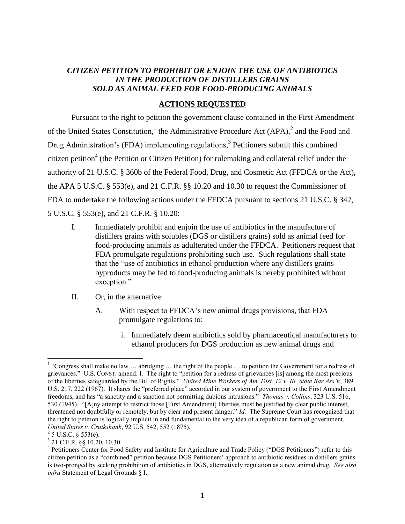# *CITIZEN PETITION TO PROHIBIT OR ENJOIN THE USE OF ANTIBIOTICS IN THE PRODUCTION OF DISTILLERS GRAINS SOLD AS ANIMAL FEED FOR FOOD-PRODUCING ANIMALS*

## **ACTIONS REQUESTED**

<span id="page-3-0"></span>Pursuant to the right to petition the government clause contained in the First Amendment of the United States Constitution,<sup>1</sup> the Administrative Procedure Act  $(APA)$ ,<sup>2</sup> and the Food and Drug Administration's (FDA) implementing regulations,<sup>3</sup> Petitioners submit this combined citizen petition<sup>4</sup> (the Petition or Citizen Petition) for rulemaking and collateral relief under the authority of 21 U.S.C. § 360b of the Federal Food, Drug, and Cosmetic Act (FFDCA or the Act), the APA 5 U.S.C. § 553(e), and 21 C.F.R. §§ 10.20 and 10.30 to request the Commissioner of FDA to undertake the following actions under the FFDCA pursuant to sections 21 U.S.C. § 342, 5 U.S.C. § 553(e), and 21 C.F.R. § 10.20:

- I. Immediately prohibit and enjoin the use of antibiotics in the manufacture of distillers grains with solubles (DGS or distillers grains) sold as animal feed for food-producing animals as adulterated under the FFDCA. Petitioners request that FDA promulgate regulations prohibiting such use. Such regulations shall state that the "use of antibiotics in ethanol production where any distillers grains byproducts may be fed to food-producing animals is hereby prohibited without exception."
- II. Or, in the alternative:
	- A. With respect to FFDCA's new animal drugs provisions, that FDA promulgate regulations to:
		- i. Immediately deem antibiotics sold by pharmaceutical manufacturers to ethanol producers for DGS production as new animal drugs and

<sup>&</sup>lt;sup>1</sup> "Congress shall make no law  $\ldots$  abridging  $\ldots$  the right of the people  $\ldots$  to petition the Government for a redress of grievances." U.S. CONST. amend. I. The right to "petition for a redress of grievances [is] among the most precious of the liberties safeguarded by the Bill of Rights." *United Mine Workers of Am. Dist. 12 v. Ill. State Bar Ass'n*, 389 U.S. 217, 222 (1967). It shares the "preferred place" accorded in our system of government to the First Amendment freedoms, and has "a sanctity and a sanction not permitting dubious intrusions." *Thomas v. Collins*, 323 U.S. 516, 530 (1945). "[A]ny attempt to restrict those [First Amendment] liberties must be justified by clear public interest, threatened not doubtfully or remotely, but by clear and present danger." *Id.* The Supreme Court has recognized that the right to petition is logically implicit in and fundamental to the very idea of a republican form of government. *United States v. Cruikshank*, 92 U.S. 542, 552 (1875).

 $^{2}$  5 U.S.C. § 553(e).

<sup>3</sup> 21 C.F.R. §§ 10.20, 10.30.

<sup>&</sup>lt;sup>4</sup> Petitioners Center for Food Safety and Institute for Agriculture and Trade Policy ("DGS Petitioners") refer to this citizen petition as a "combined" petition because DGS Petitioners' approach to antibiotic residues in distillers grains is two-pronged by seeking prohibition of antibiotics in DGS, alternatively regulation as a new animal drug. *See also infra* Statement of Legal Grounds § I.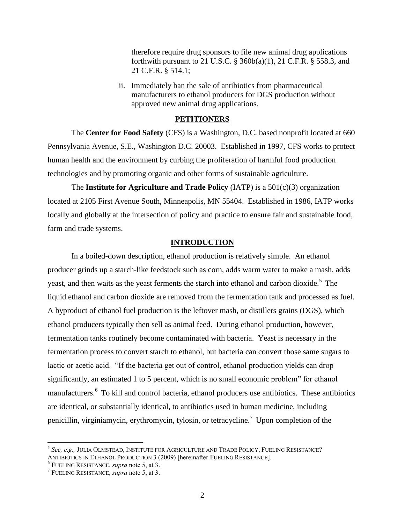therefore require drug sponsors to file new animal drug applications forthwith pursuant to 21 U.S.C. § 360b(a)(1), 21 C.F.R. § 558.3, and 21 C.F.R. § 514.1;

ii. Immediately ban the sale of antibiotics from pharmaceutical manufacturers to ethanol producers for DGS production without approved new animal drug applications.

#### **PETITIONERS**

<span id="page-4-0"></span>The **Center for Food Safety** (CFS) is a Washington, D.C. based nonprofit located at 660 Pennsylvania Avenue, S.E., Washington D.C. 20003. Established in 1997, CFS works to protect human health and the environment by curbing the proliferation of harmful food production technologies and by promoting organic and other forms of sustainable agriculture.

The **Institute for Agriculture and Trade Policy** (IATP) is a 501(c)(3) organization located at 2105 First Avenue South, Minneapolis, MN 55404. Established in 1986, IATP works locally and globally at the intersection of policy and practice to ensure fair and sustainable food, farm and trade systems.

#### **INTRODUCTION**

<span id="page-4-1"></span>In a boiled-down description, ethanol production is relatively simple. An ethanol producer grinds up a starch-like feedstock such as corn, adds warm water to make a mash, adds yeast, and then waits as the yeast ferments the starch into ethanol and carbon dioxide.<sup>5</sup> The liquid ethanol and carbon dioxide are removed from the fermentation tank and processed as fuel. A byproduct of ethanol fuel production is the leftover mash, or distillers grains (DGS), which ethanol producers typically then sell as animal feed. During ethanol production, however, fermentation tanks routinely become contaminated with bacteria. Yeast is necessary in the fermentation process to convert starch to ethanol, but bacteria can convert those same sugars to lactic or acetic acid. "If the bacteria get out of control, ethanol production yields can drop significantly, an estimated 1 to 5 percent, which is no small economic problem" for ethanol manufacturers.<sup>6</sup> To kill and control bacteria, ethanol producers use antibiotics. These antibiotics are identical, or substantially identical, to antibiotics used in human medicine, including penicillin, virginiamycin, erythromycin, tylosin, or tetracycline.<sup>7</sup> Upon completion of the

<sup>5</sup> *See, e.g.,* JULIA OLMSTEAD, INSTITUTE FOR AGRICULTURE AND TRADE POLICY, FUELING RESISTANCE? ANTIBIOTICS IN ETHANOL PRODUCTION 3 (2009) [hereinafter FUELING RESISTANCE].

<sup>6</sup> FUELING RESISTANCE, *supra* note 5, at 3.

<sup>7</sup> FUELING RESISTANCE, *supra* note 5, at 3.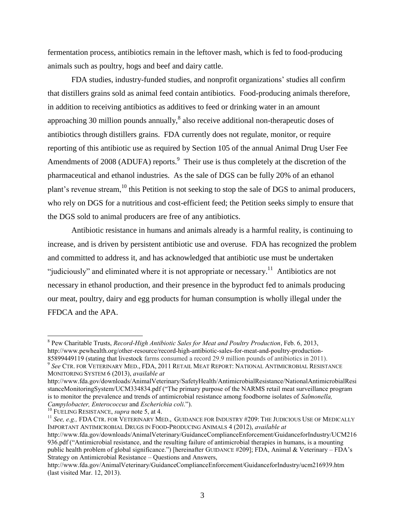fermentation process, antibiotics remain in the leftover mash, which is fed to food-producing animals such as poultry, hogs and beef and dairy cattle.

FDA studies, industry-funded studies, and nonprofit organizations' studies all confirm that distillers grains sold as animal feed contain antibiotics. Food-producing animals therefore, in addition to receiving antibiotics as additives to feed or drinking water in an amount approaching 30 million pounds annually, ${}^{8}$  also receive additional non-therapeutic doses of antibiotics through distillers grains. FDA currently does not regulate, monitor, or require reporting of this antibiotic use as required by Section 105 of the annual Animal Drug User Fee Amendments of 2008 (ADUFA) reports. $9$  Their use is thus completely at the discretion of the pharmaceutical and ethanol industries. As the sale of DGS can be fully 20% of an ethanol plant's revenue stream,<sup>10</sup> this Petition is not seeking to stop the sale of DGS to animal producers, who rely on DGS for a nutritious and cost-efficient feed; the Petition seeks simply to ensure that the DGS sold to animal producers are free of any antibiotics.

Antibiotic resistance in humans and animals already is a harmful reality, is continuing to increase, and is driven by persistent antibiotic use and overuse. FDA has recognized the problem and committed to address it, and has acknowledged that antibiotic use must be undertaken "judiciously" and eliminated where it is not appropriate or necessary.<sup>11</sup> Antibiotics are not necessary in ethanol production, and their presence in the byproduct fed to animals producing our meat, poultry, dairy and egg products for human consumption is wholly illegal under the FFDCA and the APA.

<sup>8</sup> Pew Charitable Trusts, *Record-High Antibiotic Sales for Meat and Poultry Production*, Feb. 6, 2013, http://www.pewhealth.org/other-resource/record-high-antibiotic-sales-for-meat-and-poultry-production-85899449119 (stating that livestock farms consumed a record 29.9 million pounds of antibiotics in 2011).

<sup>9</sup> *See* CTR. FOR VETERINARY MED., FDA, 2011 RETAIL MEAT REPORT: NATIONAL ANTIMICROBIAL RESISTANCE MONITORING SYSTEM 6 (2013), *available at* 

http://www.fda.gov/downloads/AnimalVeterinary/SafetyHealth/AntimicrobialResistance/NationalAntimicrobialResi stanceMonitoringSystem/UCM334834.pdf ("The primary purpose of the NARMS retail meat surveillance program is to monitor the prevalence and trends of antimicrobial resistance among foodborne isolates of *Salmonella, Campylobacter, Enterococcus* and *Escherichia coli*.").

<sup>10</sup> FUELING RESISTANCE, *supra* note 5, at 4.

<sup>&</sup>lt;sup>11</sup> See, e.g., FDA CTR. FOR VETERINARY MED., GUIDANCE FOR INDUSTRY #209: THE JUDICIOUS USE OF MEDICALLY IMPORTANT ANTIMICROBIAL DRUGS IN FOOD-PRODUCING ANIMALS 4 (2012), *available at*

http://www.fda.gov/downloads/AnimalVeterinary/GuidanceComplianceEnforcement/GuidanceforIndustry/UCM216 936.pdf ("Antimicrobial resistance, and the resulting failure of antimicrobial therapies in humans, is a mounting public health problem of global significance.") [hereinafter GUIDANCE #209]; FDA, Animal & Veterinary – FDA's Strategy on Antimicrobial Resistance – Questions and Answers,

http://www.fda.gov/AnimalVeterinary/GuidanceComplianceEnforcement/GuidanceforIndustry/ucm216939.htm (last visited Mar. 12, 2013).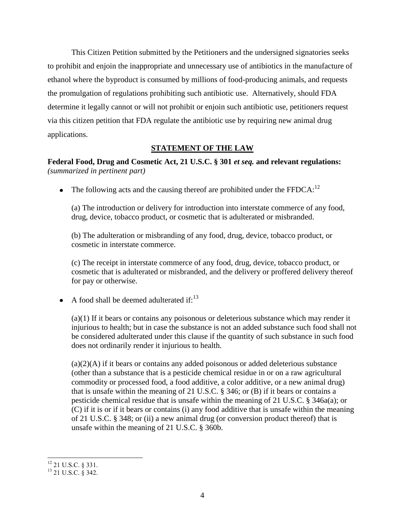This Citizen Petition submitted by the Petitioners and the undersigned signatories seeks to prohibit and enjoin the inappropriate and unnecessary use of antibiotics in the manufacture of ethanol where the byproduct is consumed by millions of food-producing animals, and requests the promulgation of regulations prohibiting such antibiotic use. Alternatively, should FDA determine it legally cannot or will not prohibit or enjoin such antibiotic use, petitioners request via this citizen petition that FDA regulate the antibiotic use by requiring new animal drug applications.

## **STATEMENT OF THE LAW**

<span id="page-6-0"></span>**Federal Food, Drug and Cosmetic Act, 21 U.S.C. § 301** *et seq.* **and relevant regulations:**  *(summarized in pertinent part)*

• The following acts and the causing thereof are prohibited under the  $FFDCA:^{12}$ 

(a) The introduction or delivery for introduction into interstate commerce of any food, drug, device, tobacco product, or cosmetic that is adulterated or misbranded.

(b) The adulteration or misbranding of any food, drug, device, tobacco product, or cosmetic in interstate commerce.

(c) The receipt in interstate commerce of any food, drug, device, tobacco product, or cosmetic that is adulterated or misbranded, and the delivery or proffered delivery thereof for pay or otherwise.

A food shall be deemed adulterated if: $^{13}$ 

(a)(1) If it bears or contains any poisonous or deleterious substance which may render it injurious to health; but in case the substance is not an added substance such food shall not be considered adulterated under this clause if the quantity of such substance in such food does not ordinarily render it injurious to health.

 $(a)(2)(A)$  if it bears or contains any added poisonous or added deleterious substance (other than a substance that is a pesticide chemical residue in or on a raw agricultural commodity or processed food, a food additive, a color additive, or a new animal drug) that is unsafe within the meaning of 21 U.S.C. § 346; or (B) if it bears or contains a pesticide chemical residue that is unsafe within the meaning of 21 U.S.C. § 346a(a); or (C) if it is or if it bears or contains (i) any food additive that is unsafe within the meaning of 21 U.S.C. § 348; or (ii) a new animal drug (or conversion product thereof) that is unsafe within the meaning of 21 U.S.C. § 360b.

l  $12$  21 U.S.C. § 331.

 $^{13}$  21 U.S.C.  $\&$  342.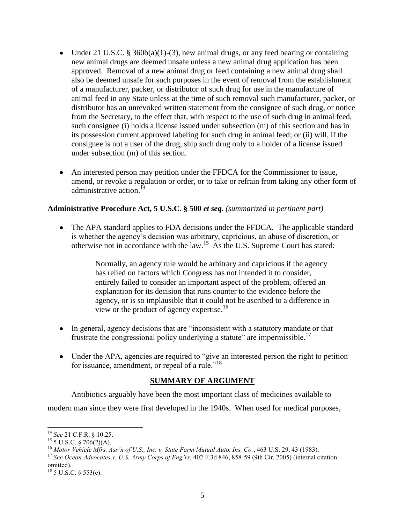- Under 21 U.S.C. § 360b(a)(1)-(3), new animal drugs, or any feed bearing or containing new animal drugs are deemed unsafe unless a new animal drug application has been approved. Removal of a new animal drug or feed containing a new animal drug shall also be deemed unsafe for such purposes in the event of removal from the establishment of a manufacturer, packer, or distributor of such drug for use in the manufacture of animal feed in any State unless at the time of such removal such manufacturer, packer, or distributor has an unrevoked written statement from the consignee of such drug, or notice from the Secretary, to the effect that, with respect to the use of such drug in animal feed, such consignee (i) holds a license issued under subsection (m) of this section and has in its possession current approved labeling for such drug in animal feed; or (ii) will, if the consignee is not a user of the drug, ship such drug only to a holder of a license issued under subsection (m) of this section.
- An interested person may petition under the FFDCA for the Commissioner to issue, amend, or revoke a regulation or order, or to take or refrain from taking any other form of administrative action.<sup>14</sup>

# **Administrative Procedure Act, 5 U.S.C. § 500** *et seq. (summarized in pertinent part)*

The APA standard applies to FDA decisions under the FFDCA. The applicable standard is whether the agency's decision was arbitrary, capricious, an abuse of discretion, or otherwise not in accordance with the law.<sup>15</sup> As the U.S. Supreme Court has stated:

> Normally, an agency rule would be arbitrary and capricious if the agency has relied on factors which Congress has not intended it to consider, entirely failed to consider an important aspect of the problem, offered an explanation for its decision that runs counter to the evidence before the agency, or is so implausible that it could not be ascribed to a difference in view or the product of agency expertise.<sup>16</sup>

- In general, agency decisions that are "inconsistent with a statutory mandate or that frustrate the congressional policy underlying a statute" are impermissible.<sup>17</sup>
- Under the APA, agencies are required to "give an interested person the right to petition for issuance, amendment, or repeal of a rule."<sup>18</sup>

## **SUMMARY OF ARGUMENT**

<span id="page-7-0"></span>Antibiotics arguably have been the most important class of medicines available to

modern man since they were first developed in the 1940s. When used for medical purposes,

 $\overline{a}$ <sup>14</sup> *See* 21 C.F.R. § 10.25.

 $15\frac{15}{5}$  U.S.C. § 706(2)(A).

<sup>16</sup> *Motor Vehicle Mfrs. Ass'n of U.S., Inc. v. State Farm Mutual Auto. Ins. Co.*, 463 U.S. 29, 43 (1983).

<sup>17</sup> *See Ocean Advocates v. U.S. Army Corps of Eng'rs*, 402 F.3d 846, 858-59 (9th Cir. 2005) (internal citation omitted).

 $^{18}$  5 U.S.C. § 553(e).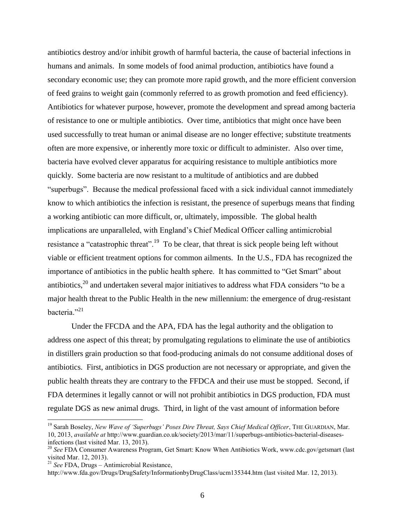antibiotics destroy and/or inhibit growth of harmful bacteria, the cause of bacterial infections in humans and animals. In some models of food animal production, antibiotics have found a secondary economic use; they can promote more rapid growth, and the more efficient conversion of feed grains to weight gain (commonly referred to as growth promotion and feed efficiency). Antibiotics for whatever purpose, however, promote the development and spread among bacteria of resistance to one or multiple antibiotics. Over time, antibiotics that might once have been used successfully to treat human or animal disease are no longer effective; substitute treatments often are more expensive, or inherently more toxic or difficult to administer. Also over time, bacteria have evolved clever apparatus for acquiring resistance to multiple antibiotics more quickly. Some bacteria are now resistant to a multitude of antibiotics and are dubbed "superbugs". Because the medical professional faced with a sick individual cannot immediately know to which antibiotics the infection is resistant, the presence of superbugs means that finding a working antibiotic can more difficult, or, ultimately, impossible. The global health implications are unparalleled, with England's Chief Medical Officer calling antimicrobial resistance a "catastrophic threat".<sup>19</sup> To be clear, that threat is sick people being left without viable or efficient treatment options for common ailments. In the U.S., FDA has recognized the importance of antibiotics in the public health sphere. It has committed to "Get Smart" about antibiotics,<sup>20</sup> and undertaken several major initiatives to address what FDA considers "to be a major health threat to the Public Health in the new millennium: the emergence of drug-resistant bacteria."<sup>21</sup>

Under the FFCDA and the APA, FDA has the legal authority and the obligation to address one aspect of this threat; by promulgating regulations to eliminate the use of antibiotics in distillers grain production so that food-producing animals do not consume additional doses of antibiotics. First, antibiotics in DGS production are not necessary or appropriate, and given the public health threats they are contrary to the FFDCA and their use must be stopped. Second, if FDA determines it legally cannot or will not prohibit antibiotics in DGS production, FDA must regulate DGS as new animal drugs. Third, in light of the vast amount of information before

<sup>&</sup>lt;sup>19</sup> Sarah Boseley, *New Wave of 'Superbugs' Poses Dire Threat, Says Chief Medical Officer*, THE GUARDIAN, Mar. 10, 2013, *available at* http://www.guardian.co.uk/society/2013/mar/11/superbugs-antibiotics-bacterial-diseasesinfections (last visited Mar. 13, 2013).

<sup>&</sup>lt;sup>20</sup> See FDA Consumer Awareness Program, Get Smart: Know When Antibiotics Work, www.cdc.gov/getsmart (last visited Mar. 12, 2013).

<sup>21</sup> *See* FDA, Drugs – Antimicrobial Resistance,

http://www.fda.gov/Drugs/DrugSafety/InformationbyDrugClass/ucm135344.htm (last visited Mar. 12, 2013).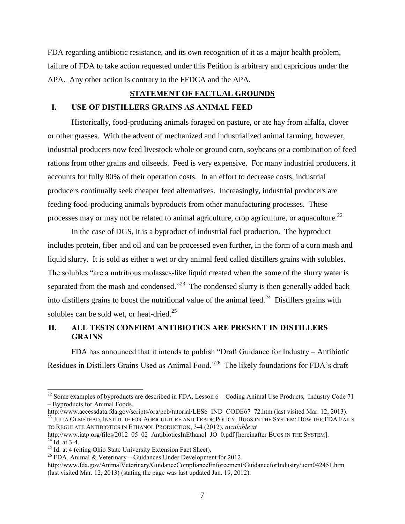FDA regarding antibiotic resistance, and its own recognition of it as a major health problem, failure of FDA to take action requested under this Petition is arbitrary and capricious under the APA. Any other action is contrary to the FFDCA and the APA.

#### **STATEMENT OF FACTUAL GROUNDS**

### <span id="page-9-1"></span><span id="page-9-0"></span>**I. USE OF DISTILLERS GRAINS AS ANIMAL FEED**

Historically, food-producing animals foraged on pasture, or ate hay from alfalfa, clover or other grasses. With the advent of mechanized and industrialized animal farming, however, industrial producers now feed livestock whole or ground corn, soybeans or a combination of feed rations from other grains and oilseeds. Feed is very expensive. For many industrial producers, it accounts for fully 80% of their operation costs. In an effort to decrease costs, industrial producers continually seek cheaper feed alternatives. Increasingly, industrial producers are feeding food-producing animals byproducts from other manufacturing processes. These processes may or may not be related to animal agriculture, crop agriculture, or aquaculture.<sup>22</sup>

In the case of DGS, it is a byproduct of industrial fuel production. The byproduct includes protein, fiber and oil and can be processed even further, in the form of a corn mash and liquid slurry. It is sold as either a wet or dry animal feed called distillers grains with solubles. The solubles "are a nutritious molasses-like liquid created when the some of the slurry water is separated from the mash and condensed."<sup>23</sup> The condensed slurry is then generally added back into distillers grains to boost the nutritional value of the animal feed. $^{24}$  Distillers grains with solubles can be sold wet, or heat-dried. $25$ 

# <span id="page-9-2"></span>**II. ALL TESTS CONFIRM ANTIBIOTICS ARE PRESENT IN DISTILLERS GRAINS**

FDA has announced that it intends to publish "Draft Guidance for Industry – Antibiotic Residues in Distillers Grains Used as Animal Food."<sup>26</sup> The likely foundations for FDA's draft

http://www.accessdata.fda.gov/scripts/ora/pcb/tutorial/LES6\_IND\_CODE67\_72.htm (last visited Mar. 12, 2013). <sup>23</sup> JULIA OLMSTEAD, INSTITUTE FOR AGRICULTURE AND TRADE POLICY, BUGS IN THE SYSTEM: HOW THE FDA FAILS TO REGULATE ANTIBIOTICS IN ETHANOL PRODUCTION, 3-4 (2012), *available at* 

l

 $22$  Some examples of byproducts are described in FDA, Lesson  $6 -$ Coding Animal Use Products, Industry Code 71 – Byproducts for Animal Foods,

http://www.iatp.org/files/2012\_05\_02\_AntibioticsInEthanol\_JO\_0.pdf [hereinafter BUGS IN THE SYSTEM].  $^{24}$  Id. at 3-4.

 $25$  Id. at 4 (citing Ohio State University Extension Fact Sheet).

 $26$  FDA, Animal & Veterinary – Guidances Under Development for 2012

http://www.fda.gov/AnimalVeterinary/GuidanceComplianceEnforcement/GuidanceforIndustry/ucm042451.htm (last visited Mar. 12, 2013) (stating the page was last updated Jan. 19, 2012).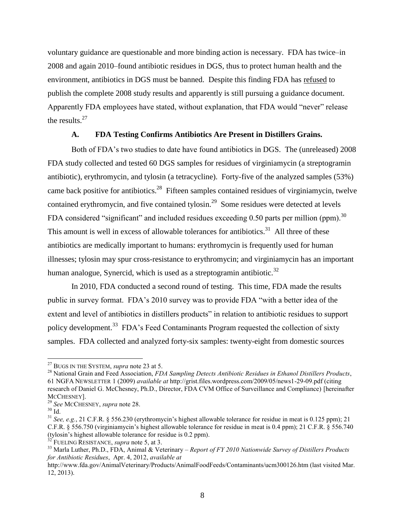voluntary guidance are questionable and more binding action is necessary. FDA has twice–in 2008 and again 2010–found antibiotic residues in DGS, thus to protect human health and the environment, antibiotics in DGS must be banned. Despite this finding FDA has refused to publish the complete 2008 study results and apparently is still pursuing a guidance document. Apparently FDA employees have stated, without explanation, that FDA would "never" release the results.<sup>27</sup>

### **A. FDA Testing Confirms Antibiotics Are Present in Distillers Grains.**

<span id="page-10-0"></span>Both of FDA's two studies to date have found antibiotics in DGS. The (unreleased) 2008 FDA study collected and tested 60 DGS samples for residues of virginiamycin (a streptogramin antibiotic), erythromycin, and tylosin (a tetracycline). Forty-five of the analyzed samples (53%) came back positive for antibiotics.<sup>28</sup> Fifteen samples contained residues of virginiamycin, twelve contained erythromycin, and five contained tylosin.<sup>29</sup> Some residues were detected at levels FDA considered "significant" and included residues exceeding 0.50 parts per million (ppm).<sup>30</sup> This amount is well in excess of allowable tolerances for antibiotics.<sup>31</sup> All three of these antibiotics are medically important to humans: erythromycin is frequently used for human illnesses; tylosin may spur cross-resistance to erythromycin; and virginiamycin has an important human analogue, Synercid, which is used as a streptogramin antibiotic.<sup>32</sup>

In 2010, FDA conducted a second round of testing. This time, FDA made the results public in survey format. FDA's 2010 survey was to provide FDA "with a better idea of the extent and level of antibiotics in distillers products" in relation to antibiotic residues to support policy development.<sup>33</sup> FDA's Feed Contaminants Program requested the collection of sixty samples. FDA collected and analyzed forty-six samples: twenty-eight from domestic sources

<sup>27</sup> BUGS IN THE SYSTEM, *supra* note 23 at 5.

<sup>28</sup> National Grain and Feed Association, *FDA Sampling Detects Antibiotic Residues in Ethanol Distillers Products*, 61 NGFA NEWSLETTER 1 (2009) *available at* http://grist.files.wordpress.com/2009/05/news1-29-09.pdf (citing research of Daniel G. McChesney, Ph.D., Director, FDA CVM Office of Surveillance and Compliance) [hereinafter MCCHESNEY].

<sup>29</sup> *See* MCCHESNEY, *supra* note 28.

 $^{30}$  Id.

<sup>31</sup> *See, e.g.*, 21 C.F.R. § 556.230 (erythromycin's highest allowable tolerance for residue in meat is 0.125 ppm); 21 C.F.R. § 556.750 (virginiamycin's highest allowable tolerance for residue in meat is 0.4 ppm); 21 C.F.R. § 556.740 (tylosin's highest allowable tolerance for residue is 0.2 ppm).

<sup>32</sup> FUELING RESISTANCE, *supra* note 5, at 3.

<sup>33</sup> Marla Luther, Ph.D., FDA, Animal & Veterinary – *Report of FY 2010 Nationwide Survey of Distillers Products for Antibiotic Residues*, Apr. 4, 2012, *available at*

http://www.fda.gov/AnimalVeterinary/Products/AnimalFoodFeeds/Contaminants/ucm300126.htm (last visited Mar. 12, 2013).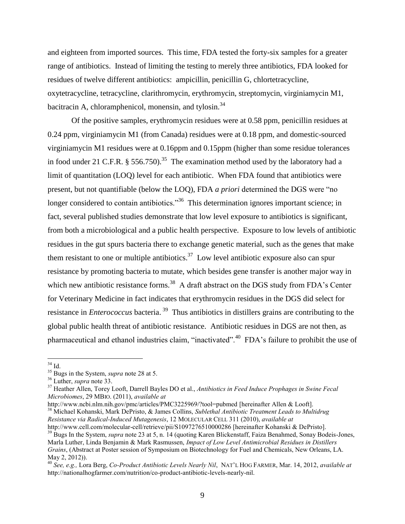and eighteen from imported sources. This time, FDA tested the forty-six samples for a greater range of antibiotics. Instead of limiting the testing to merely three antibiotics, FDA looked for residues of twelve different antibiotics: ampicillin, penicillin G, chlortetracycline, oxytetracycline, tetracycline, clarithromycin, erythromycin, streptomycin, virginiamycin M1, bacitracin A, chloramphenicol, monensin, and tylosin.<sup>34</sup>

Of the positive samples, erythromycin residues were at 0.58 ppm, penicillin residues at 0.24 ppm, virginiamycin M1 (from Canada) residues were at 0.18 ppm, and domestic-sourced virginiamycin M1 residues were at 0.16ppm and 0.15ppm (higher than some residue tolerances in food under 21 C.F.R.  $\S 556.750$ .<sup>35</sup> The examination method used by the laboratory had a limit of quantitation (LOQ) level for each antibiotic. When FDA found that antibiotics were present, but not quantifiable (below the LOQ), FDA *a priori* determined the DGS were "no longer considered to contain antibiotics."<sup>36</sup> This determination ignores important science; in fact, several published studies demonstrate that low level exposure to antibiotics is significant, from both a microbiological and a public health perspective. Exposure to low levels of antibiotic residues in the gut spurs bacteria there to exchange genetic material, such as the genes that make them resistant to one or multiple antibiotics.<sup>37</sup> Low level antibiotic exposure also can spur resistance by promoting bacteria to mutate, which besides gene transfer is another major way in which new antibiotic resistance forms.<sup>38</sup> A draft abstract on the DGS study from FDA's Center for Veterinary Medicine in fact indicates that erythromycin residues in the DGS did select for resistance in *Enterococcus* bacteria. <sup>39</sup> Thus antibiotics in distillers grains are contributing to the global public health threat of antibiotic resistance. Antibiotic residues in DGS are not then, as pharmaceutical and ethanol industries claim, "inactivated".<sup>40</sup> FDA's failure to prohibit the use of

http://www.ncbi.nlm.nih.gov/pmc/articles/PMC3225969/?tool=pubmed [hereinafter Allen & Looft]. <sup>38</sup> Michael Kohanski, Mark DePristo, & James Collins, *Sublethal Antibiotic Treatment Leads to Multidrug Resistance via Radical-Induced Mutagenesis*, 12 MOLECULAR CELL 311 (2010), *available at*  http://www.cell.com/molecular-cell/retrieve/pii/S1097276510000286 [hereinafter Kohanski & DePristo].

 $\overline{a}$  $34$  Id.

<sup>35</sup> Bugs in the System, *supra* note 28 at 5.

<sup>36</sup> Luther, *supra* note 33.

<sup>37</sup> Heather Allen, Torey Looft, Darrell Bayles DO et al., *Antibiotics in Feed Induce Prophages in Swine Fecal Microbiomes*, 29 MBIO. (2011), *available at* 

<sup>&</sup>lt;sup>39</sup> Bugs In the System, *supra* note 23 at 5, n. 14 (quoting Karen Blickenstaff, Faiza Benahmed, Sonay Bodeis-Jones, Marla Luther, Linda Benjamin & Mark Rasmussen, *Impact of Low Level Antimicrobial Residues in Distillers Grains*, (Abstract at Poster session of Symposium on Biotechnology for Fuel and Chemicals, New Orleans, LA. May 2, 2012)).

<sup>40</sup> *See, e.g.,* Lora Berg, *Co-Product Antibiotic Levels Nearly Nil*, NAT'L HOG FARMER, Mar. 14, 2012, *available at* http://nationalhogfarmer.com/nutrition/co-product-antibiotic-levels-nearly-nil.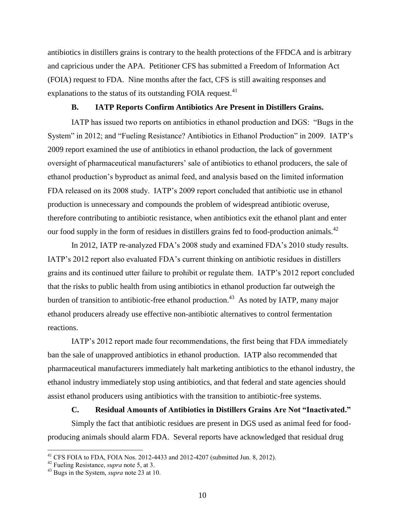antibiotics in distillers grains is contrary to the health protections of the FFDCA and is arbitrary and capricious under the APA. Petitioner CFS has submitted a Freedom of Information Act (FOIA) request to FDA. Nine months after the fact, CFS is still awaiting responses and explanations to the status of its outstanding FOIA request.<sup>41</sup>

#### **B. IATP Reports Confirm Antibiotics Are Present in Distillers Grains.**

<span id="page-12-0"></span>IATP has issued two reports on antibiotics in ethanol production and DGS: "Bugs in the System" in 2012; and "Fueling Resistance? Antibiotics in Ethanol Production" in 2009. IATP's 2009 report examined the use of antibiotics in ethanol production, the lack of government oversight of pharmaceutical manufacturers' sale of antibiotics to ethanol producers, the sale of ethanol production's byproduct as animal feed, and analysis based on the limited information FDA released on its 2008 study. IATP's 2009 report concluded that antibiotic use in ethanol production is unnecessary and compounds the problem of widespread antibiotic overuse, therefore contributing to antibiotic resistance, when antibiotics exit the ethanol plant and enter our food supply in the form of residues in distillers grains fed to food-production animals. $^{42}$ 

In 2012, IATP re-analyzed FDA's 2008 study and examined FDA's 2010 study results. IATP's 2012 report also evaluated FDA's current thinking on antibiotic residues in distillers grains and its continued utter failure to prohibit or regulate them. IATP's 2012 report concluded that the risks to public health from using antibiotics in ethanol production far outweigh the burden of transition to antibiotic-free ethanol production.<sup>43</sup> As noted by IATP, many major ethanol producers already use effective non-antibiotic alternatives to control fermentation reactions.

IATP's 2012 report made four recommendations, the first being that FDA immediately ban the sale of unapproved antibiotics in ethanol production. IATP also recommended that pharmaceutical manufacturers immediately halt marketing antibiotics to the ethanol industry, the ethanol industry immediately stop using antibiotics, and that federal and state agencies should assist ethanol producers using antibiotics with the transition to antibiotic-free systems.

#### **C. Residual Amounts of Antibiotics in Distillers Grains Are Not "Inactivated."**

Simply the fact that antibiotic residues are present in DGS used as animal feed for foodproducing animals should alarm FDA. Several reports have acknowledged that residual drug

<sup>&</sup>lt;sup>41</sup> CFS FOIA to FDA, FOIA Nos. 2012-4433 and 2012-4207 (submitted Jun. 8, 2012).

<sup>42</sup> Fueling Resistance, *supra* note 5, at 3.

<sup>43</sup> Bugs in the System, *supra* note 23 at 10.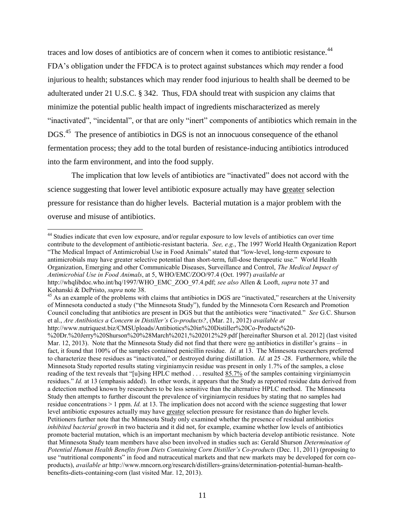traces and low doses of antibiotics are of concern when it comes to antibiotic resistance.<sup>44</sup> FDA's obligation under the FFDCA is to protect against substances which *may* render a food injurious to health; substances which may render food injurious to health shall be deemed to be adulterated under 21 U.S.C. § 342. Thus, FDA should treat with suspicion any claims that minimize the potential public health impact of ingredients mischaracterized as merely "inactivated", "incidental", or that are only "inert" components of antibiotics which remain in the DGS.<sup>45</sup> The presence of antibiotics in DGS is not an innocuous consequence of the ethanol fermentation process; they add to the total burden of resistance-inducing antibiotics introduced into the farm environment, and into the food supply.

The implication that low levels of antibiotics are "inactivated" does not accord with the science suggesting that lower level antibiotic exposure actually may have greater selection pressure for resistance than do higher levels. Bacterial mutation is a major problem with the overuse and misuse of antibiotics.

 $\overline{a}$ 

"The Medical Impact of Antimicrobial Use in Food Animals" stated that "low-level, long-term exposure to antimicrobials may have greater selective potential than short-term, full-dose therapeutic use." World Health Organization, Emerging and other Communicable Diseases, Surveillance and Control, *The Medical Impact of Antimicrobial Use in Food Animals*, at 5, WHO/EMC/ZOO/97.4 (Oct. 1997) *available at*  http://whqlibdoc.who.int/hq/1997/WHO\_EMC\_ZOO\_97.4.pdf; *see also* Allen & Looft, *supra* note 37 and Kohanski & DePristo, *supra* note 38.

<sup>&</sup>lt;sup>44</sup> Studies indicate that even low exposure, and/or regular exposure to low levels of antibiotics can over time contribute to the development of antibiotic-resistant bacteria. *See, e.g.*, The 1997 World Health Organization Report

 $45$  As an example of the problems with claims that antibiotics in DGS are "inactivated," researchers at the University of Minnesota conducted a study ("the Minnesota Study"), funded by the Minnesota Corn Research and Promotion Council concluding that antibiotics are present in DGS but that the antibiotics were "inactivated." *See* G.C. Shurson et al., *Are Antibiotics a Concern in Distiller's Co-products?*, (Mar. 21, 2012) *available at*

http://www.nutriquest.biz/CMSUploads/Antibiotics%20in%20Distiller%20Co-Products%20- %20Dr.%20Jerry%20Shurson%20%28March%2021,%202012%29.pdf [hereinafter Shurson et al. 2012] (last visited Mar. 12, 2013). Note that the Minnesota Study did not find that there were no antibiotics in distiller's grains – in fact, it found that 100% of the samples contained penicillin residue. *Id.* at 13. The Minnesota researchers preferred to characterize these residues as "inactivated," or destroyed during distillation. *Id.* at 25 -28. Furthermore, while the Minnesota Study reported results stating virginiamycin residue was present in only 1.7% of the samples, a close reading of the text reveals that "[u]sing HPLC method . . . resulted  $85.7\%$  of the samples containing virginiamycin residues." *Id.* at 13 (emphasis added). In other words, it appears that the Study as reported residue data derived from a detection method known by researchers to be less sensitive than the alternative HPLC method. The Minnesota Study then attempts to further discount the prevalence of virginiamycin residues by stating that no samples had residue concentrations > 1 ppm. *Id.* at 13. The implication does not accord with the science suggesting that lower level antibiotic exposures actually may have greater selection pressure for resistance than do higher levels. Petitioners further note that the Minnesota Study only examined whether the presence of residual antibiotics *inhibited bacterial growth* in two bacteria and it did not, for example, examine whether low levels of antibiotics promote bacterial mutation, which is an important mechanism by which bacteria develop antibiotic resistance. Note that Minnesota Study team members have also been involved in studies such as: Gerald Shurson *Determination of Potential Human Health Benefits from Diets Containing Corn Distiller's Co-products* (Dec. 11, 2011) (proposing to use "nutritional components" in food and nutraceutical markets and that new markets may be developed for corn coproducts), *available at* http://www.mncorn.org/research/distillers-grains/determination-potential-human-healthbenefits-diets-containing-corn (last visited Mar. 12, 2013).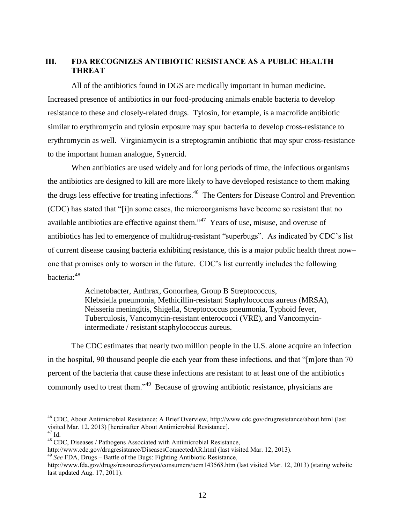## <span id="page-14-0"></span>**III. FDA RECOGNIZES ANTIBIOTIC RESISTANCE AS A PUBLIC HEALTH THREAT**

All of the antibiotics found in DGS are medically important in human medicine. Increased presence of antibiotics in our food-producing animals enable bacteria to develop resistance to these and closely-related drugs. Tylosin, for example, is a macrolide antibiotic similar to erythromycin and tylosin exposure may spur bacteria to develop cross-resistance to erythromycin as well. Virginiamycin is a streptogramin antibiotic that may spur cross-resistance to the important human analogue, Synercid.

When antibiotics are used widely and for long periods of time, the infectious organisms the antibiotics are designed to kill are more likely to have developed resistance to them making the drugs less effective for treating infections.<sup>46</sup> The Centers for Disease Control and Prevention (CDC) has stated that "[i]n some cases, the microorganisms have become so resistant that no available antibiotics are effective against them.<sup> $347$ </sup> Years of use, misuse, and overuse of antibiotics has led to emergence of multidrug-resistant "superbugs". As indicated by CDC's list of current disease causing bacteria exhibiting resistance, this is a major public health threat now– one that promises only to worsen in the future. CDC's list currently includes the following bacteria:<sup>48</sup>

> Acinetobacter, Anthrax, Gonorrhea, Group B Streptococcus, Klebsiella pneumonia, Methicillin-resistant Staphylococcus aureus (MRSA), Neisseria meningitis, Shigella, Streptococcus pneumonia, Typhoid fever, Tuberculosis, Vancomycin-resistant enterococci (VRE), and Vancomycinintermediate / resistant staphylococcus aureus.

The CDC estimates that nearly two million people in the U.S. alone acquire an infection in the hospital, 90 thousand people die each year from these infections, and that "[m]ore than 70 percent of the bacteria that cause these infections are resistant to at least one of the antibiotics commonly used to treat them."<sup>49</sup> Because of growing antibiotic resistance, physicians are

l

<http://www.cdc.gov/drugresistance/DiseasesConnectedAR.html> (last visited Mar. 12, 2013).

<sup>&</sup>lt;sup>46</sup> CDC, About Antimicrobial Resistance: A Brief Overview, http://www.cdc.gov/drugresistance/about.html (last visited Mar. 12, 2013) [hereinafter About Antimicrobial Resistance].

<sup>47</sup> Id.

<sup>48</sup> CDC, Diseases / Pathogens Associated with Antimicrobial Resistance,

<sup>49</sup> *See* FDA, Drugs – Battle of the Bugs: Fighting Antibiotic Resistance,

http://www.fda.gov/drugs/resourcesforyou/consumers/ucm143568.htm (last visited Mar. 12, 2013) (stating website last updated Aug. 17, 2011).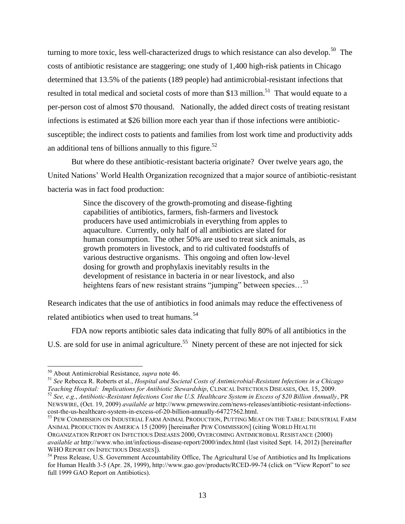turning to more toxic, less well-characterized drugs to which resistance can also develop.<sup>50</sup> The costs of antibiotic resistance are staggering; one study of 1,400 high-risk patients in Chicago determined that 13.5% of the patients (189 people) had antimicrobial-resistant infections that resulted in total medical and societal costs of more than \$13 million.<sup>51</sup> That would equate to a per-person cost of almost \$70 thousand. Nationally, the added direct costs of treating resistant infections is estimated at \$26 billion more each year than if those infections were antibioticsusceptible; the indirect costs to patients and families from lost work time and productivity adds an additional tens of billions annually to this figure.<sup>52</sup>

But where do these antibiotic-resistant bacteria originate? Over twelve years ago, the United Nations' World Health Organization recognized that a major source of antibiotic-resistant bacteria was in fact food production:

> Since the discovery of the growth-promoting and disease-fighting capabilities of antibiotics, farmers, fish-farmers and livestock producers have used antimicrobials in everything from apples to aquaculture. Currently, only half of all antibiotics are slated for human consumption. The other 50% are used to treat sick animals, as growth promoters in livestock, and to rid cultivated foodstuffs of various destructive organisms. This ongoing and often low-level dosing for growth and prophylaxis inevitably results in the development of resistance in bacteria in or near livestock, and also heightens fears of new resistant strains "jumping" between species...<sup>53</sup>

Research indicates that the use of antibiotics in food animals may reduce the effectiveness of related antibiotics when used to treat humans.<sup>54</sup>

FDA now reports antibiotic sales data indicating that fully 80% of all antibiotics in the U.S. are sold for use in animal agriculture.<sup>55</sup> Ninety percent of these are not injected for sick

l

<sup>51</sup> *See* Rebecca R. Roberts et al., *Hospital and Societal Costs of Antimicrobial-Resistant Infections in a Chicago Teaching Hospital: Implications for Antibiotic Stewardship*, CLINICAL INFECTIOUS DISEASES, Oct. 15, 2009. <sup>52</sup> *See, e.g.*, *Antibiotic-Resistant Infections Cost the U.S. Healthcare System in Excess of \$20 Billion Annually*, PR NEWSWIRE, (Oct. 19, 2009) *available at* http://www.prnewswire.com/news-releases/antibiotic-resistant-infectionscost-the-us-healthcare-system-in-excess-of-20-billion-annually-64727562.html.

<sup>53</sup> PEW COMMISSION ON INDUSTRIAL FARM ANIMAL PRODUCTION, PUTTING MEAT ON THE TABLE: INDUSTRIAL FARM ANIMAL PRODUCTION IN AMERICA 15 (2009) [hereinafter PEW COMMISSION] (citing WORLD HEALTH ORGANIZATION REPORT ON INFECTIOUS DISEASES 2000, OVERCOMING ANTIMICROBIAL RESISTANCE (2000) *available at* http://www.who.int/infectious-disease-report/2000/index.html (last visited Sept. 14, 2012) [hereinafter WHO REPORT ON INFECTIOUS DISEASES]).

<sup>54</sup> Press Release, U.S. Government Accountability Office, The Agricultural Use of Antibiotics and Its Implications for Human Health 3-5 (Apr. 28, 1999), http://www.gao.gov/products/RCED-99-74 (click on "View Report" to see full 1999 GAO Report on Antibiotics).

<sup>50</sup> About Antimicrobial Resistance, *supra* note 46.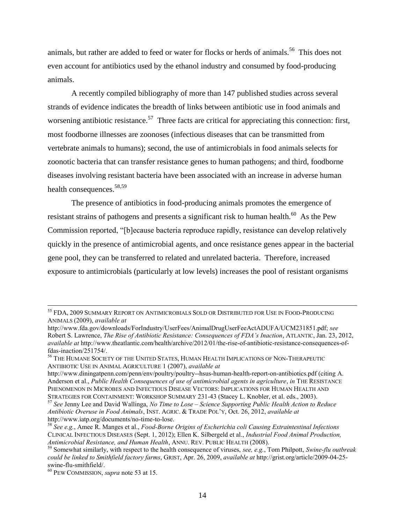animals, but rather are added to feed or water for flocks or herds of animals.<sup>56</sup> This does not even account for antibiotics used by the ethanol industry and consumed by food-producing animals.

A recently compiled bibliography of more than 147 published studies across several strands of evidence indicates the breadth of links between antibiotic use in food animals and worsening antibiotic resistance.<sup>57</sup> Three facts are critical for appreciating this connection: first, most foodborne illnesses are zoonoses (infectious diseases that can be transmitted from vertebrate animals to humans); second, the use of antimicrobials in food animals selects for zoonotic bacteria that can transfer resistance genes to human pathogens; and third, foodborne diseases involving resistant bacteria have been associated with an increase in adverse human health consequences.<sup>58,59</sup>

The presence of antibiotics in food-producing animals promotes the emergence of resistant strains of pathogens and presents a significant risk to human health.<sup>60</sup> As the Pew Commission reported, "[b]ecause bacteria reproduce rapidly, resistance can develop relatively quickly in the presence of antimicrobial agents, and once resistance genes appear in the bacterial gene pool, they can be transferred to related and unrelated bacteria. Therefore, increased exposure to antimicrobials (particularly at low levels) increases the pool of resistant organisms

<sup>55</sup> FDA, 2009 SUMMARY REPORT ON ANTIMICROBIALS SOLD OR DISTRIBUTED FOR USE IN FOOD-PRODUCING ANIMALS (2009), *available at*

http://www.fda.gov/downloads/ForIndustry/UserFees/AnimalDrugUserFeeActADUFA/UCM231851.pdf; *see* Robert S. Lawrence, *The Rise of Antibiotic Resistance: Consequences of FDA's Inaction*, ATLANTIC, Jan. 23, 2012, *available at* http://www.theatlantic.com/health/archive/2012/01/the-rise-of-antibiotic-resistance-consequences-offdas-inaction/251754/.

<sup>56</sup> THE HUMANE SOCIETY OF THE UNITED STATES, HUMAN HEALTH IMPLICATIONS OF NON-THERAPEUTIC ANTIBIOTIC USE IN ANIMAL AGRICULTURE 1 (2007), *available at*

http://www.diningatpenn.com/penn/env/poultry/poultry--hsus-human-health-report-on-antibiotics.pdf (citing A. Anderson et al., *Public Health Consequences of use of antimicrobial agents in agriculture*, *in* THE RESISTANCE PHENOMENON IN MICROBES AND INFECTIOUS DISEASE VECTORS: IMPLICATIONS FOR HUMAN HEALTH AND STRATEGIES FOR CONTAINMENT: WORKSHOP SUMMARY 231-43 (Stacey L. Knobler, et al. eds., 2003).

<sup>57</sup> *See* Jenny Lee and David Wallinga, *No Time to Lose – Science Supporting Public Health Action to Reduce Antibiotic Overuse in Food Animals*, INST. AGRIC. & TRADE POL'Y, Oct. 26, 2012, *available at*  http://www.iatp.org/documents/no-time-to-lose.

<sup>58</sup> *See e.g.*, Amee R. Manges et al., *Food-Borne Origins of Escherichia coli Causing Extraintestinal Infections* CLINICAL INFECTIOUS DISEASES (Sept. 1, 2012); Ellen K. Silbergeld et al., *Industrial Food Animal Production, Antimicrobial Resistance, and Human Health*, ANNU. REV. PUBLIC HEALTH (2008).

<sup>59</sup> Somewhat similarly, with respect to the health consequence of viruses, *see, e.g.*, Tom Philpott, *Swine-flu outbreak could be linked to Smithfield factory farms*, GRIST, Apr. 26, 2009, *available at* http://grist.org/article/2009-04-25 swine-flu-smithfield/.

<sup>60</sup> PEW COMMISSION, *supra* note 53 at 15.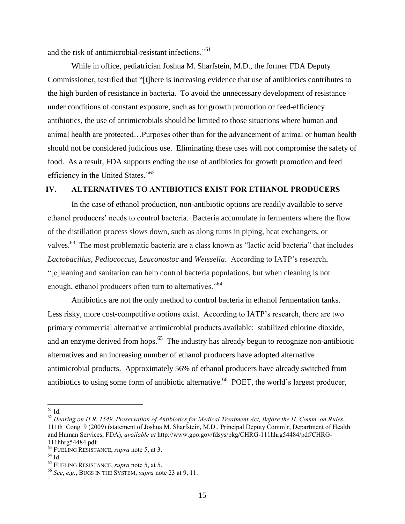and the risk of antimicrobial-resistant infections."<sup>61</sup>

While in office, pediatrician Joshua M. Sharfstein, M.D., the former FDA Deputy Commissioner, testified that "[t]here is increasing evidence that use of antibiotics contributes to the high burden of resistance in bacteria. To avoid the unnecessary development of resistance under conditions of constant exposure, such as for growth promotion or feed-efficiency antibiotics, the use of antimicrobials should be limited to those situations where human and animal health are protected…Purposes other than for the advancement of animal or human health should not be considered judicious use. Eliminating these uses will not compromise the safety of food. As a result, FDA supports ending the use of antibiotics for growth promotion and feed efficiency in the United States."<sup>62</sup>

### <span id="page-17-0"></span>**IV. ALTERNATIVES TO ANTIBIOTICS EXIST FOR ETHANOL PRODUCERS**

In the case of ethanol production, non-antibiotic options are readily available to serve ethanol producers' needs to control bacteria. Bacteria accumulate in fermenters where the flow of the distillation process slows down, such as along turns in piping, heat exchangers, or valves.<sup>63</sup> The most problematic bacteria are a class known as "lactic acid bacteria" that includes *Lactobacillus*, *Pediococcus*, *Leuconostoc* and *Weissella*. According to IATP's research, "[c]leaning and sanitation can help control bacteria populations, but when cleaning is not enough, ethanol producers often turn to alternatives."<sup>64</sup>

Antibiotics are not the only method to control bacteria in ethanol fermentation tanks. Less risky, more cost-competitive options exist. According to IATP's research, there are two primary commercial alternative antimicrobial products available: stabilized chlorine dioxide, and an enzyme derived from hops.<sup>65</sup> The industry has already begun to recognize non-antibiotic alternatives and an increasing number of ethanol producers have adopted alternative antimicrobial products. Approximately 56% of ethanol producers have already switched from antibiotics to using some form of antibiotic alternative.<sup>66</sup> POET, the world's largest producer,

 $^{61}$  Id.

<sup>62</sup> *Hearing on H.R. 1549, Preservation of Antibiotics for Medical Treatment Act, Before the H. Comm. on Rules*, 111th Cong. 9 (2009) (statement of Joshua M. Sharfstein, M.D., Principal Deputy Comm'r, Department of Health and Human Services, FDA), *available at* http://www.gpo.gov/fdsys/pkg/CHRG-111hhrg54484/pdf/CHRG-111hhrg54484.pdf.

<sup>63</sup> FUELING RESISTANCE, *supra* note 5, at 3.

 $64$  Id.

<sup>65</sup> FUELING RESISTANCE, *supra* note 5, at 5.

<sup>66</sup> *See*, *e.g.*, BUGS IN THE SYSTEM, *supra* note 23 at 9, 11.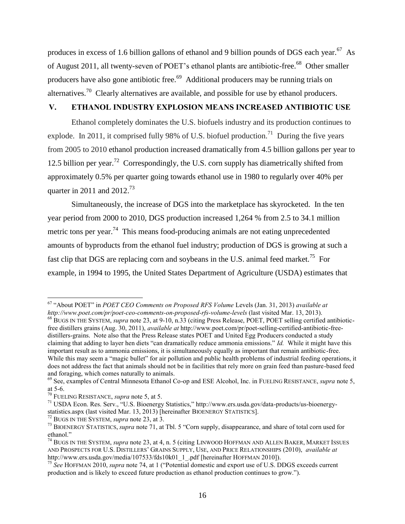produces in excess of 1.6 billion gallons of ethanol and 9 billion pounds of DGS each year.<sup>67</sup> As of August 2011, all twenty-seven of POET's ethanol plants are antibiotic-free.<sup>68</sup> Other smaller producers have also gone antibiotic free.<sup>69</sup> Additional producers may be running trials on alternatives.<sup>70</sup> Clearly alternatives are available, and possible for use by ethanol producers.

# <span id="page-18-0"></span>**V. ETHANOL INDUSTRY EXPLOSION MEANS INCREASED ANTIBIOTIC USE**

Ethanol completely dominates the U.S. biofuels industry and its production continues to explode. In 2011, it comprised fully 98% of U.S. biofuel production.<sup>71</sup> During the five years from 2005 to 2010 ethanol production increased dramatically from 4.5 billion gallons per year to 12.5 billion per year.<sup>72</sup> Correspondingly, the U.S. corn supply has diametrically shifted from approximately 0.5% per quarter going towards ethanol use in 1980 to regularly over 40% per quarter in 2011 and  $2012.^{73}$ 

Simultaneously, the increase of DGS into the marketplace has skyrocketed. In the ten year period from 2000 to 2010, DGS production increased 1,264 % from 2.5 to 34.1 million metric tons per year.<sup>74</sup> This means food-producing animals are not eating unprecedented amounts of byproducts from the ethanol fuel industry; production of DGS is growing at such a fast clip that DGS are replacing corn and soybeans in the U.S. animal feed market.<sup>75</sup> For example, in 1994 to 1995, the United States Department of Agriculture (USDA) estimates that

l <sup>67</sup> "About POET" in *POET CEO Comments on Proposed RFS Volume* Levels (Jan. 31, 2013) *available at http://www.poet.com/pr/poet-ceo-comments-on-proposed-rfs-volume-levels* (last visited Mar. 13, 2013).

<sup>68</sup> BUGS IN THE SYSTEM, *supra* note 23, at 9-10, n.33 (citing Press Release, POET, POET selling certified antibioticfree distillers grains (Aug. 30, 2011), *available at* http://www.poet.com/pr/poet-selling-certified-antibiotic-freedistillers-grains. Note also that the Press Release states POET and United Egg Producers conducted a study claiming that adding to layer hen diets "can dramatically reduce ammonia emissions." *Id.* While it might have this important result as to ammonia emissions, it is simultaneously equally as important that remain antibiotic-free. While this may seem a "magic bullet" for air pollution and public health problems of industrial feeding operations, it does not address the fact that animals should not be in facilities that rely more on grain feed than pasture-based feed and foraging, which comes naturally to animals.

<sup>69</sup> See, examples of Central Minnesota Ethanol Co-op and ESE Alcohol, Inc. in FUELING RESISTANCE, *supra* note 5, at 5-6.

<sup>70</sup> FUELING RESISTANCE, *supra* note 5, at 5.

<sup>71</sup> USDA Econ. Res. Serv., "U.S. Bioenergy Statistics," http://www.ers.usda.gov/data-products/us-bioenergystatistics.aspx (last visited Mar. 13, 2013) [hereinafter BIOENERGY STATISTICS].

<sup>72</sup> BUGS IN THE SYSTEM, *supra* note 23, at 3.

<sup>73</sup> BIOENERGY STATISTICS, *supra* note 71, at Tbl. 5 "Corn supply, disappearance, and share of total corn used for ethanol."

<sup>74</sup> BUGS IN THE SYSTEM, *supra* note 23, at 4, n. 5 (citing LINWOOD HOFFMAN AND ALLEN BAKER, MARKET ISSUES AND PROSPECTS FOR U.S. DISTILLERS' GRAINS SUPPLY, USE, AND PRICE RELATIONSHIPS (2010), *available at* http://www.ers.usda.gov/media/107533/fds10k01\_1\_.pdf [hereinafter HOFFMAN 2010]).

<sup>75</sup> *See* HOFFMAN 2010, *supra* note 74, at 1 ("Potential domestic and export use of U.S. DDGS exceeds current production and is likely to exceed future production as ethanol production continues to grow.").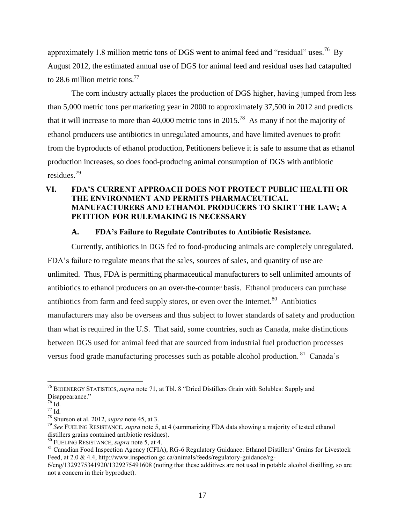approximately 1.8 million metric tons of DGS went to animal feed and "residual" uses.<sup>76</sup> By August 2012, the estimated annual use of DGS for animal feed and residual uses had catapulted to 28.6 million metric tons.<sup>77</sup>

The corn industry actually places the production of DGS higher, having jumped from less than 5,000 metric tons per marketing year in 2000 to approximately 37,500 in 2012 and predicts that it will increase to more than 40,000 metric tons in 2015.<sup>78</sup> As many if not the majority of ethanol producers use antibiotics in unregulated amounts, and have limited avenues to profit from the byproducts of ethanol production, Petitioners believe it is safe to assume that as ethanol production increases, so does food-producing animal consumption of DGS with antibiotic residues.<sup>79</sup>

# <span id="page-19-0"></span>**VI. FDA'S CURRENT APPROACH DOES NOT PROTECT PUBLIC HEALTH OR THE ENVIRONMENT AND PERMITS PHARMACEUTICAL MANUFACTURERS AND ETHANOL PRODUCERS TO SKIRT THE LAW; A PETITION FOR RULEMAKING IS NECESSARY**

## **A. FDA's Failure to Regulate Contributes to Antibiotic Resistance.**

<span id="page-19-1"></span>Currently, antibiotics in DGS fed to food-producing animals are completely unregulated. FDA's failure to regulate means that the sales, sources of sales, and quantity of use are unlimited. Thus, FDA is permitting pharmaceutical manufacturers to sell unlimited amounts of antibiotics to ethanol producers on an over-the-counter basis. Ethanol producers can purchase antibiotics from farm and feed supply stores, or even over the Internet. $80$  Antibiotics manufacturers may also be overseas and thus subject to lower standards of safety and production than what is required in the U.S. That said, some countries, such as Canada, make distinctions between DGS used for animal feed that are sourced from industrial fuel production processes versus food grade manufacturing processes such as potable alcohol production. <sup>81</sup> Canada's

 $\overline{a}$ <sup>76</sup> BIOENERGY STATISTICS, *supra* note 71, at Tbl. 8 "Dried Distillers Grain with Solubles: Supply and Disappearance."

 $76$  Id.

 $^{77}$  Id.  $\,$ 

<sup>78</sup> Shurson et al. 2012, *supra* note 45, at 3.

<sup>79</sup> *See* FUELING RESISTANCE, *supra* note 5, at 4 (summarizing FDA data showing a majority of tested ethanol distillers grains contained antibiotic residues).

<sup>80</sup> FUELING RESISTANCE, *supra* note 5, at 4.

<sup>&</sup>lt;sup>81</sup> Canadian Food Inspection Agency (CFIA), RG-6 Regulatory Guidance: Ethanol Distillers' Grains for Livestock Feed, at 2.0 & 4.4, http://www.inspection.gc.ca/animals/feeds/regulatory-guidance/rg-

<sup>6/</sup>eng/1329275341920/1329275491608 (noting that these additives are not used in potable alcohol distilling, so are not a concern in their byproduct).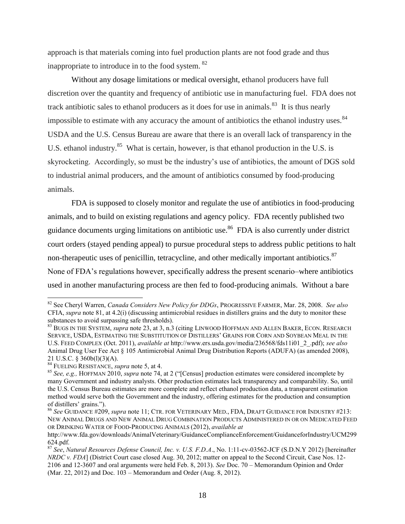approach is that materials coming into fuel production plants are not food grade and thus inappropriate to introduce in to the food system. <sup>82</sup>

Without any dosage limitations or medical oversight, ethanol producers have full discretion over the quantity and frequency of antibiotic use in manufacturing fuel. FDA does not track antibiotic sales to ethanol producers as it does for use in animals.<sup>83</sup> It is thus nearly impossible to estimate with any accuracy the amount of antibiotics the ethanol industry uses.<sup>84</sup> USDA and the U.S. Census Bureau are aware that there is an overall lack of transparency in the U.S. ethanol industry.<sup>85</sup> What is certain, however, is that ethanol production in the U.S. is skyrocketing. Accordingly, so must be the industry's use of antibiotics, the amount of DGS sold to industrial animal producers, and the amount of antibiotics consumed by food-producing animals.

FDA is supposed to closely monitor and regulate the use of antibiotics in food-producing animals, and to build on existing regulations and agency policy. FDA recently published two guidance documents urging limitations on antibiotic use.<sup>86</sup> FDA is also currently under district court orders (stayed pending appeal) to pursue procedural steps to address public petitions to halt non-therapeutic uses of penicillin, tetracycline, and other medically important antibiotics.<sup>87</sup> None of FDA's regulations however, specifically address the present scenario–where antibiotics used in another manufacturing process are then fed to food-producing animals. Without a bare

l

<sup>82</sup> See Cheryl Warren, *Canada Considers New Policy for DDGs*, PROGRESSIVE FARMER, Mar. 28, 2008. *See also* CFIA, *supra* note 81, at 4.2(i) (discussing antimicrobial residues in distillers grains and the duty to monitor these substances to avoid surpassing safe thresholds).

<sup>&</sup>lt;sup>83</sup> BUGS IN THE SYSTEM, *supra* note 23, at 3, n.3 (citing LINWOOD HOFFMAN AND ALLEN BAKER, ECON. RESEARCH SERVICE, USDA, ESTIMATING THE SUBSTITUTION OF DISTILLERS' GRAINS FOR CORN AND SOYBEAN MEAL IN THE U.S. FEED COMPLEX (Oct. 2011), *available at* http://www.ers.usda.gov/media/236568/fds11i01\_2\_.pdf); *see also* Animal Drug User Fee Act § 105 Antimicrobial Animal Drug Distribution Reports (ADUFA) (as amended 2008), 21 U.S.C. § 360b(l)(3)(A).

<sup>84</sup> FUELING RESISTANCE, *supra* note 5, at 4.

<sup>85</sup> *See, e.g.,* HOFFMAN 2010, *supra* note 74, at 2 ("[Census] production estimates were considered incomplete by many Government and industry analysts. Other production estimates lack transparency and comparability. So, until the U.S. Census Bureau estimates are more complete and reflect ethanol production data, a transparent estimation method would serve both the Government and the industry, offering estimates for the production and consumption of distillers' grains.").

<sup>86</sup> *See* GUIDANCE #209, *supra* note 11; CTR. FOR VETERINARY MED., FDA, DRAFT GUIDANCE FOR INDUSTRY #213: NEW ANIMAL DRUGS AND NEW ANIMAL DRUG COMBINATION PRODUCTS ADMINISTERED IN OR ON MEDICATED FEED OR DRINKING WATER OF FOOD-PRODUCING ANIMALS (2012), *available at* 

http://www.fda.gov/downloads/AnimalVeterinary/GuidanceComplianceEnforcement/GuidanceforIndustry/UCM299 624.pdf.

<sup>87</sup> *See*, *Natural Resources Defense Council, Inc. v. U.S. F.D.A*., No. 1:11-cv-03562-JCF (S.D.N.Y 2012) [hereinafter *NRDC v. FDA*] (District Court case closed Aug. 30, 2012; matter on appeal to the Second Circuit, Case Nos. 12- 2106 and 12-3607 and oral arguments were held Feb. 8, 2013). *See* Doc. 70 – Memorandum Opinion and Order (Mar. 22, 2012) and Doc. 103 – Memorandum and Order (Aug. 8, 2012).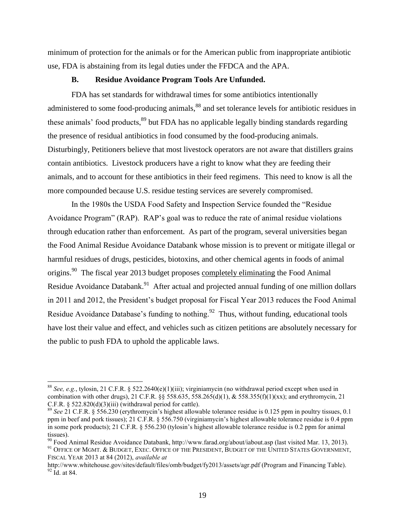minimum of protection for the animals or for the American public from inappropriate antibiotic use, FDA is abstaining from its legal duties under the FFDCA and the APA.

#### **B. Residue Avoidance Program Tools Are Unfunded.**

<span id="page-21-0"></span>FDA has set standards for withdrawal times for some antibiotics intentionally administered to some food-producing animals,<sup>88</sup> and set tolerance levels for antibiotic residues in these animals' food products,<sup>89</sup> but FDA has no applicable legally binding standards regarding the presence of residual antibiotics in food consumed by the food-producing animals. Disturbingly, Petitioners believe that most livestock operators are not aware that distillers grains contain antibiotics. Livestock producers have a right to know what they are feeding their animals, and to account for these antibiotics in their feed regimens. This need to know is all the more compounded because U.S. residue testing services are severely compromised.

In the 1980s the USDA Food Safety and Inspection Service founded the "Residue Avoidance Program" (RAP). RAP's goal was to reduce the rate of animal residue violations through education rather than enforcement. As part of the program, several universities began the Food Animal Residue Avoidance Databank whose mission is to prevent or mitigate illegal or harmful residues of drugs, pesticides, biotoxins, and other chemical agents in foods of animal origins.<sup>90</sup> The fiscal year 2013 budget proposes completely eliminating the Food Animal Residue Avoidance Databank.<sup>91</sup> After actual and projected annual funding of one million dollars in 2011 and 2012, the President's budget proposal for Fiscal Year 2013 reduces the Food Animal Residue Avoidance Database's funding to nothing.<sup>92</sup> Thus, without funding, educational tools have lost their value and effect, and vehicles such as citizen petitions are absolutely necessary for the public to push FDA to uphold the applicable laws.

<sup>88</sup> *See, e.g.*, tylosin, 21 C.F.R. § 522.2640(e)(1)(iii); virginiamycin (no withdrawal period except when used in combination with other drugs), 21 C.F.R. §§ 558.635, 558.265(d)(1), & 558.355(f)(1)(xx); and erythromycin, 21 C.F.R.  $\S$  522.820(d)(3)(iii) (withdrawal period for cattle).

<sup>89</sup> *See* 21 C.F.R. § 556.230 (erythromycin's highest allowable tolerance residue is 0.125 ppm in poultry tissues, 0.1 ppm in beef and pork tissues); 21 C.F.R. § 556.750 (virginiamycin's highest allowable tolerance residue is 0.4 ppm in some pork products); 21 C.F.R. § 556.230 (tylosin's highest allowable tolerance residue is 0.2 ppm for animal tissues).

<sup>90</sup> Food Animal Residue Avoidance Databank, http://www.farad.org/about/iabout.asp (last visited Mar. 13, 2013).

 $91$  Office of Mgmt. & Budget, Exec. Office of the President, Budget of the United States Government, FISCAL YEAR 2013 at 84 (2012), *available at* 

http://www.whitehouse.gov/sites/default/files/omb/budget/fy2013/assets/agr.pdf (Program and Financing Table).  $92$  Id. at 84.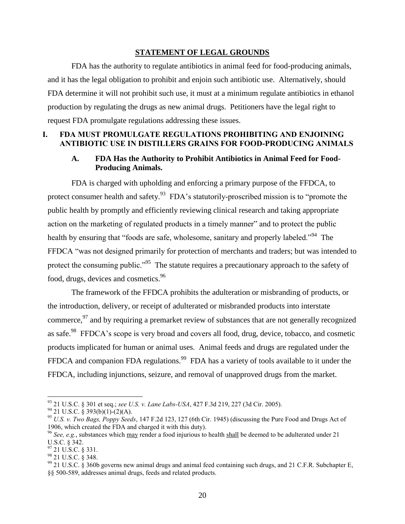#### **STATEMENT OF LEGAL GROUNDS**

<span id="page-22-0"></span>FDA has the authority to regulate antibiotics in animal feed for food-producing animals, and it has the legal obligation to prohibit and enjoin such antibiotic use. Alternatively, should FDA determine it will not prohibit such use, it must at a minimum regulate antibiotics in ethanol production by regulating the drugs as new animal drugs. Petitioners have the legal right to request FDA promulgate regulations addressing these issues.

### <span id="page-22-2"></span><span id="page-22-1"></span>**I. FDA MUST PROMULGATE REGULATIONS PROHIBITING AND ENJOINING ANTIBIOTIC USE IN DISTILLERS GRAINS FOR FOOD-PRODUCING ANIMALS**

## **A. FDA Has the Authority to Prohibit Antibiotics in Animal Feed for Food-Producing Animals.**

FDA is charged with upholding and enforcing a primary purpose of the FFDCA, to protect consumer health and safety.<sup>93</sup> FDA's statutorily-proscribed mission is to "promote the public health by promptly and efficiently reviewing clinical research and taking appropriate action on the marketing of regulated products in a timely manner" and to protect the public health by ensuring that "foods are safe, wholesome, sanitary and properly labeled."<sup>94</sup> The FFDCA "was not designed primarily for protection of merchants and traders; but was intended to protect the consuming public."<sup>95</sup> The statute requires a precautionary approach to the safety of food, drugs, devices and cosmetics.<sup>96</sup>

The framework of the FFDCA prohibits the adulteration or misbranding of products, or the introduction, delivery, or receipt of adulterated or misbranded products into interstate commerce,  $\frac{97}{2}$  and by requiring a premarket review of substances that are not generally recognized as safe.<sup>98</sup> FFDCA's scope is very broad and covers all food, drug, device, tobacco, and cosmetic products implicated for human or animal uses. Animal feeds and drugs are regulated under the FFDCA and companion FDA regulations.<sup>99</sup> FDA has a variety of tools available to it under the FFDCA, including injunctions, seizure, and removal of unapproved drugs from the market.

<sup>93</sup> 21 U.S.C. § 301 et seq.; *see U.S. v. Lane Labs-USA*, 427 F.3d 219, 227 (3d Cir. 2005).

 $94$  21 U.S.C. § 393(b)(1)-(2)(A).

<sup>95</sup> *U.S. v. Two Bags, Poppy Seeds*, 147 F.2d 123, 127 (6th Cir. 1945) (discussing the Pure Food and Drugs Act of 1906, which created the FDA and charged it with this duty).

<sup>96</sup> *See, e.g.*, substances which may render a food injurious to health shall be deemed to be adulterated under 21 U.S.C. § 342.

 $97$  21 U.S.C. § 331.

<sup>98</sup> 21 U.S.C. § 348.

 $99$  21 U.S.C. § 360b governs new animal drugs and animal feed containing such drugs, and 21 C.F.R. Subchapter E, §§ 500-589, addresses animal drugs, feeds and related products.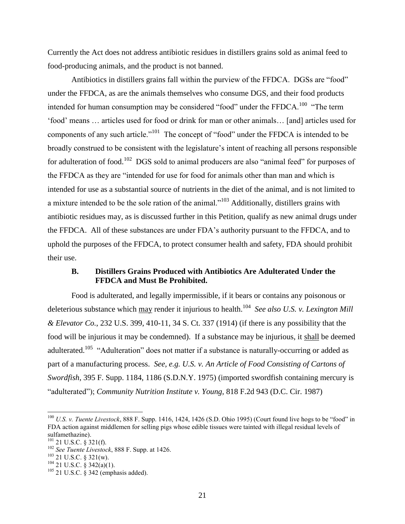Currently the Act does not address antibiotic residues in distillers grains sold as animal feed to food-producing animals, and the product is not banned.

Antibiotics in distillers grains fall within the purview of the FFDCA. DGSs are "food" under the FFDCA, as are the animals themselves who consume DGS, and their food products intended for human consumption may be considered "food" under the FFDCA.<sup>100</sup> "The term 'food' means … articles used for food or drink for man or other animals… [and] articles used for components of any such article."<sup>101</sup> The concept of "food" under the FFDCA is intended to be broadly construed to be consistent with the legislature's intent of reaching all persons responsible for adulteration of food.<sup>102</sup> DGS sold to animal producers are also "animal feed" for purposes of the FFDCA as they are "intended for use for food for animals other than man and which is intended for use as a substantial source of nutrients in the diet of the animal, and is not limited to a mixture intended to be the sole ration of the animal."<sup>103</sup> Additionally, distillers grains with antibiotic residues may, as is discussed further in this Petition, qualify as new animal drugs under the FFDCA. All of these substances are under FDA's authority pursuant to the FFDCA, and to uphold the purposes of the FFDCA, to protect consumer health and safety, FDA should prohibit their use.

### <span id="page-23-0"></span>**B. Distillers Grains Produced with Antibiotics Are Adulterated Under the FFDCA and Must Be Prohibited.**

Food is adulterated, and legally impermissible, if it bears or contains any poisonous or deleterious substance which may render it injurious to health.<sup>104</sup> See also U.S. v. Lexington Mill *& Elevator Co.*, 232 U.S. 399, 410-11, 34 S. Ct. 337 (1914) (if there is any possibility that the food will be injurious it may be condemned). If a substance may be injurious, it shall be deemed adulterated.<sup>105</sup> "Adulteration" does not matter if a substance is naturally-occurring or added as part of a manufacturing process. *See, e.g. U.S. v. An Article of Food Consisting of Cartons of Swordfish*, 395 F. Supp. 1184, 1186 (S.D.N.Y. 1975) (imported swordfish containing mercury is "adulterated"); *Community Nutrition Institute v. Young*, 818 F.2d 943 (D.C. Cir. 1987)

l

<sup>100</sup> *U.S. v. Tuente Livestock*, 888 F. Supp. 1416, 1424, 1426 (S.D. Ohio 1995) (Court found live hogs to be "food" in FDA action against middlemen for selling pigs whose edible tissues were tainted with illegal residual levels of sulfamethazine).

 $^{101}$  21 U.S.C. § 321(f).

<sup>102</sup> *See Tuente Livestock*, 888 F. Supp. at 1426.

<sup>103</sup> 21 U.S.C. § 321(w).

 $104\overline{21}$  U.S.C. § 342(a)(1).

 $105$  21 U.S.C. § 342 (emphasis added).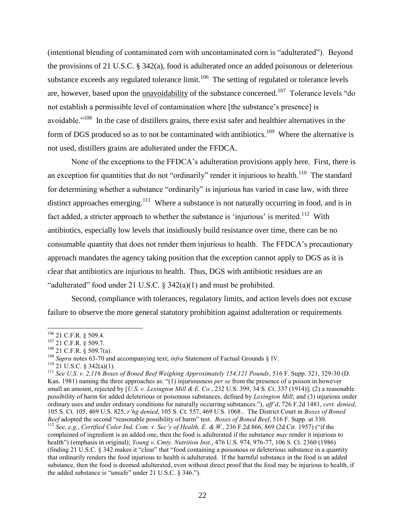(intentional blending of contaminated corn with uncontaminated corn is "adulterated"). Beyond the provisions of 21 U.S.C. § 342(a), food is adulterated once an added poisonous or deleterious substance exceeds any regulated tolerance  $\lim_{h \to 0} 1^{106}$  The setting of regulated or tolerance levels are, however, based upon the **unavoidability** of the substance concerned.<sup>107</sup> Tolerance levels "do not establish a permissible level of contamination where [the substance's presence] is avoidable."<sup>108</sup> In the case of distillers grains, there exist safer and healthier alternatives in the form of DGS produced so as to not be contaminated with antibiotics.<sup>109</sup> Where the alternative is not used, distillers grains are adulterated under the FFDCA.

None of the exceptions to the FFDCA's adulteration provisions apply here. First, there is an exception for quantities that do not "ordinarily" render it injurious to health.<sup>110</sup> The standard for determining whether a substance "ordinarily" is injurious has varied in case law, with three distinct approaches emerging.<sup>111</sup> Where a substance is not naturally occurring in food, and is in fact added, a stricter approach to whether the substance is 'injurious' is merited.<sup>112</sup> With antibiotics, especially low levels that insidiously build resistance over time, there can be no consumable quantity that does not render them injurious to health. The FFDCA's precautionary approach mandates the agency taking position that the exception cannot apply to DGS as it is clear that antibiotics are injurious to health. Thus, DGS with antibiotic residues are an "adulterated" food under 21 U.S.C. § 342(a)(1) and must be prohibited.

Second, compliance with tolerances, regulatory limits, and action levels does not excuse failure to observe the more general statutory prohibition against adulteration or requirements

 $106$  21 C.F.R. § 509.4.

<sup>107</sup> 21 C.F.R. § 509.7.

 $108$  21 C.F.R. § 509.7(a).

<sup>&</sup>lt;sup>109</sup> Supra notes 63-70 and accompanying text; *infra* Statement of Factual Grounds § IV.

 $110$  21 U.S.C. § 342(a)(1).

<sup>111</sup> *See U.S. v. 2,116 Boxes of Boned Beef Weighing Approximately 154,121 Pounds*, 516 F. Supp. 321, 329-30 (D. Kan. 1981) naming the three approaches as: "(1) injuriousness *per se* from the presence of a poison in however small an amount, rejected by [*U.S. v. Lexington Mill & E. Co.*, 232 U.S. 399, 34 S. Ct. 337 (1914)]; (2) a reasonable possibility of harm for added deleterious or poisonous substances, defined by *Lexington Mill*; and (3) injurious under ordinary uses and under ordinary conditions for naturally occurring substances."), *aff'd*, 726 F.2d 1481, *cert. denied*, 105 S. Ct. 105, 469 U.S. 825, *r'hg denied*, 105 S. Ct. 557, 469 U.S. 1068.. The District Court in *Boxes of Boned Beef* adopted the second "reasonable possibility of harm" test. *Boxes of Boned Beef*, 516 F. Supp. at 330. <sup>112</sup> *See, e.g.*, *Certified Color Ind. Com. v. Sec'y of Health, E. & W.*, 236 F.2d 866, 869 (2d Cir. 1957) ("if the

complained of ingredient is an added one, then the food is adulterated if the substance *may* render it injurious to health") (emphasis in original); *Young v. Cmty. Nutrition Inst.*, 476 U.S. 974, 976-77, 106 S. Ct. 2360 (1986) (finding 21 U.S.C. § 342 makes it "clear" that "food containing a poisonous or deleterious substance in a quantity that ordinarily renders the food injurious to health is adulterated. If the harmful substance in the food is an added substance, then the food is deemed adulterated, even without direct proof that the food may be injurious to health, if the added substance is "unsafe" under 21 U.S.C. § 346.").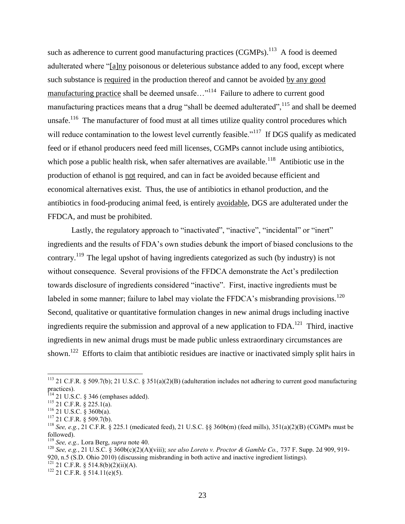such as adherence to current good manufacturing practices  $(CGMPs)$ .<sup>113</sup> A food is deemed adulterated where "[a]ny poisonous or deleterious substance added to any food, except where such substance is required in the production thereof and cannot be avoided by any good manufacturing practice shall be deemed unsafe..."<sup>114</sup> Failure to adhere to current good manufacturing practices means that a drug "shall be deemed adulterated",  $^{115}$  and shall be deemed unsafe.<sup>116</sup> The manufacturer of food must at all times utilize quality control procedures which will reduce contamination to the lowest level currently feasible."<sup>117</sup> If DGS qualify as medicated feed or if ethanol producers need feed mill licenses, CGMPs cannot include using antibiotics, which pose a public health risk, when safer alternatives are available.<sup>118</sup> Antibiotic use in the production of ethanol is not required, and can in fact be avoided because efficient and economical alternatives exist. Thus, the use of antibiotics in ethanol production, and the antibiotics in food-producing animal feed, is entirely avoidable, DGS are adulterated under the FFDCA, and must be prohibited.

Lastly, the regulatory approach to "inactivated", "inactive", "incidental" or "inert" ingredients and the results of FDA's own studies debunk the import of biased conclusions to the contrary.<sup>119</sup> The legal upshot of having ingredients categorized as such (by industry) is not without consequence. Several provisions of the FFDCA demonstrate the Act's predilection towards disclosure of ingredients considered "inactive". First, inactive ingredients must be labeled in some manner; failure to label may violate the FFDCA's misbranding provisions.<sup>120</sup> Second, qualitative or quantitative formulation changes in new animal drugs including inactive ingredients require the submission and approval of a new application to  $FDA$ .<sup>121</sup> Third, inactive ingredients in new animal drugs must be made public unless extraordinary circumstances are shown.<sup>122</sup> Efforts to claim that antibiotic residues are inactive or inactivated simply split hairs in

 $\overline{\phantom{a}}$ 

 $122$  21 C.F.R. § 514.11(e)(5).

<sup>&</sup>lt;sup>113</sup> 21 C.F.R. § 509.7(b); 21 U.S.C. § 351(a)(2)(B) (adulteration includes not adhering to current good manufacturing practices).

 $114$  21 U.S.C. § 346 (emphases added).

 $115$  21 C.F.R. § 225.1(a).

 $^{116}$  21 U.S.C. § 360b(a).

 $117$  21 C.F.R. § 509.7(b).

<sup>&</sup>lt;sup>118</sup> *See, e.g.*, 21 C.F.R. § 225.1 (medicated feed), 21 U.S.C. §§ 360b(m) (feed mills), 351(a)(2)(B) (CGMPs must be followed).

<sup>119</sup> *See, e.g.,* Lora Berg, *supra* note 40.

<sup>120</sup> *See, e.g.*, 21 U.S.C. § 360b(c)(2)(A)(viii); *see also Loreto v. Proctor & Gamble Co.,* 737 F. Supp. 2d 909, 919- 920, n.5 (S.D. Ohio 2010) (discussing misbranding in both active and inactive ingredient listings). <sup>121</sup> 21 C.F.R. § 514.8(b)(2)(ii)(A).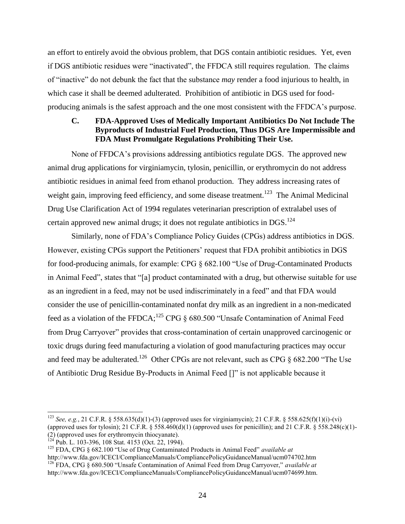an effort to entirely avoid the obvious problem, that DGS contain antibiotic residues. Yet, even if DGS antibiotic residues were "inactivated", the FFDCA still requires regulation. The claims of "inactive" do not debunk the fact that the substance *may* render a food injurious to health, in which case it shall be deemed adulterated. Prohibition of antibiotic in DGS used for foodproducing animals is the safest approach and the one most consistent with the FFDCA's purpose.

## <span id="page-26-0"></span>**C. FDA-Approved Uses of Medically Important Antibiotics Do Not Include The Byproducts of Industrial Fuel Production, Thus DGS Are Impermissible and FDA Must Promulgate Regulations Prohibiting Their Use.**

None of FFDCA's provisions addressing antibiotics regulate DGS. The approved new animal drug applications for virginiamycin, tylosin, penicillin, or erythromycin do not address antibiotic residues in animal feed from ethanol production. They address increasing rates of weight gain, improving feed efficiency, and some disease treatment.<sup>123</sup> The Animal Medicinal Drug Use Clarification Act of 1994 regulates veterinarian prescription of extralabel uses of certain approved new animal drugs; it does not regulate antibiotics in DGS.<sup>124</sup>

Similarly, none of FDA's Compliance Policy Guides (CPGs) address antibiotics in DGS. However, existing CPGs support the Petitioners' request that FDA prohibit antibiotics in DGS for food-producing animals, for example: CPG § 682.100 "Use of Drug-Contaminated Products in Animal Feed", states that "[a] product contaminated with a drug, but otherwise suitable for use as an ingredient in a feed, may not be used indiscriminately in a feed" and that FDA would consider the use of penicillin-contaminated nonfat dry milk as an ingredient in a non-medicated feed as a violation of the FFDCA;<sup>125</sup> CPG  $\S$  680.500 "Unsafe Contamination of Animal Feed from Drug Carryover" provides that cross-contamination of certain unapproved carcinogenic or toxic drugs during feed manufacturing a violation of good manufacturing practices may occur and feed may be adulterated.<sup>126</sup> Other CPGs are not relevant, such as CPG  $\S$  682.200 "The Use of Antibiotic Drug Residue By-Products in Animal Feed []" is not applicable because it

l

<sup>&</sup>lt;sup>123</sup> *See, e.g.*, 21 C.F.R. § 558.635(d)(1)-(3) (approved uses for virginiamycin); 21 C.F.R. § 558.625(f)(1)(i)-(vi) (approved uses for tylosin); 21 C.F.R.  $\S 558.460(d)(1)$  (approved uses for penicillin); and 21 C.F.R.  $\S 558.248(c)(1)$ -(2) (approved uses for erythromycin thiocyanate).

Pub. L. 103-396, 108 Stat. 4153 (Oct. 22, 1994).

<sup>125</sup> FDA, CPG § 682.100 "Use of Drug Contaminated Products in Animal Feed" *available at* http://www.fda.gov/ICECI/ComplianceManuals/CompliancePolicyGuidanceManual/ucm074702.htm

<sup>126</sup> FDA, CPG § 680.500 "Unsafe Contamination of Animal Feed from Drug Carryover," *available at* http://www.fda.gov/ICECI/ComplianceManuals/CompliancePolicyGuidanceManual/ucm074699.htm.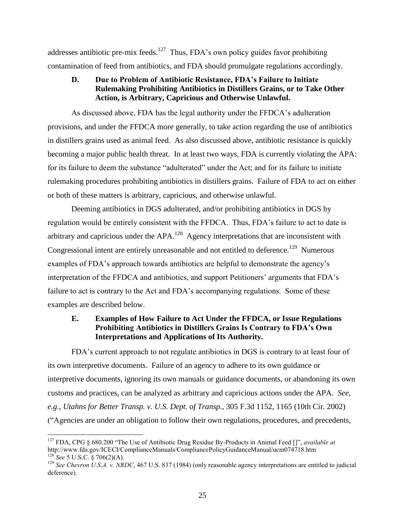addresses antibiotic pre-mix feeds.<sup>127</sup> Thus, FDA's own policy guides favor prohibiting contamination of feed from antibiotics, and FDA should promulgate regulations accordingly.

## <span id="page-27-0"></span>**D. Due to Problem of Antibiotic Resistance, FDA's Failure to Initiate Rulemaking Prohibiting Antibiotics in Distillers Grains, or to Take Other Action, is Arbitrary, Capricious and Otherwise Unlawful.**

As discussed above, FDA has the legal authority under the FFDCA's adulteration provisions, and under the FFDCA more generally, to take action regarding the use of antibiotics in distillers grains used as animal feed. As also discussed above, antibiotic resistance is quickly becoming a major public health threat. In at least two ways, FDA is currently violating the APA: for its failure to deem the substance "adulterated" under the Act; and for its failure to initiate rulemaking procedures prohibiting antibiotics in distillers grains. Failure of FDA to act on either or both of these matters is arbitrary, capricious, and otherwise unlawful.

Deeming antibiotics in DGS adulterated, and/or prohibiting antibiotics in DGS by regulation would be entirely consistent with the FFDCA. Thus, FDA's failure to act to date is arbitrary and capricious under the  $APA$ .<sup>128</sup> Agency interpretations that are inconsistent with Congressional intent are entirely unreasonable and not entitled to deference.<sup>129</sup> Numerous examples of FDA's approach towards antibiotics are helpful to demonstrate the agency's interpretation of the FFDCA and antibiotics, and support Petitioners' arguments that FDA's failure to act is contrary to the Act and FDA's accompanying regulations. Some of these examples are described below.

## <span id="page-27-1"></span>**E. Examples of How Failure to Act Under the FFDCA, or Issue Regulations Prohibiting Antibiotics in Distillers Grains Is Contrary to FDA's Own Interpretations and Applications of Its Authority.**

FDA's current approach to not regulate antibiotics in DGS is contrary to at least four of its own interpretive documents. Failure of an agency to adhere to its own guidance or interpretive documents, ignoring its own manuals or guidance documents, or abandoning its own customs and practices, can be analyzed as arbitrary and capricious actions under the APA. *See, e.g.*, *Utahns for Better Transp. v. U.S. Dept. of Transp.*, 305 F.3d 1152, 1165 (10th Cir. 2002) ("Agencies are under an obligation to follow their own regulations, procedures, and precedents,

 $\overline{\phantom{a}}$ <sup>127</sup> FDA, CPG § 680.200 "The Use of Antibiotic Drug Residue By-Products in Animal Feed []", *available at* http://www.fda.gov/ICECI/ComplianceManuals/CompliancePolicyGuidanceManual/ucm074718.htm <sup>128</sup> *See* 5 U.S.C. § 706(2)(A).

 $129$  *See Chevron U.S.A. v. NRDC*, 467 U.S. 837 (1984) (only reasonable agency interpretations are entitled to judicial deference).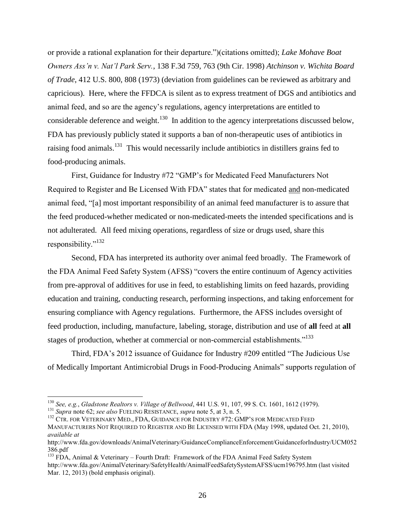or provide a rational explanation for their departure.")(citations omitted); *Lake Mohave Boat Owners Ass'n v. Nat'l Park Serv.*, 138 F.3d 759, 763 (9th Cir. 1998) *Atchinson v. Wichita Board of Trade*, 412 U.S. 800, 808 (1973) (deviation from guidelines can be reviewed as arbitrary and capricious). Here, where the FFDCA is silent as to express treatment of DGS and antibiotics and animal feed, and so are the agency's regulations, agency interpretations are entitled to considerable deference and weight.<sup>130</sup> In addition to the agency interpretations discussed below, FDA has previously publicly stated it supports a ban of non-therapeutic uses of antibiotics in raising food animals.<sup>131</sup> This would necessarily include antibiotics in distillers grains fed to food-producing animals.

First, Guidance for Industry #72 "GMP's for Medicated Feed Manufacturers Not Required to Register and Be Licensed With FDA" states that for medicated and non-medicated animal feed, "[a] most important responsibility of an animal feed manufacturer is to assure that the feed produced-whether medicated or non-medicated-meets the intended specifications and is not adulterated. All feed mixing operations, regardless of size or drugs used, share this responsibility."<sup>132</sup>

Second, FDA has interpreted its authority over animal feed broadly. The Framework of the FDA Animal Feed Safety System (AFSS) "covers the entire continuum of Agency activities from pre-approval of additives for use in feed, to establishing limits on feed hazards, providing education and training, conducting research, performing inspections, and taking enforcement for ensuring compliance with Agency regulations. Furthermore, the AFSS includes oversight of feed production, including, manufacture, labeling, storage, distribution and use of **all** feed at **all** stages of production, whether at commercial or non-commercial establishments."<sup>133</sup>

Third, FDA's 2012 issuance of Guidance for Industry #209 entitled "The Judicious Use of Medically Important Antimicrobial Drugs in Food-Producing Animals" supports regulation of

 $\overline{\phantom{a}}$ 

<sup>130</sup> *See, e.g.*, *Gladstone Realtors v. Village of Bellwood*, 441 U.S. 91, 107, 99 S. Ct. 1601, 1612 (1979).

<sup>131</sup> *Supra* note 62; *see also* FUELING RESISTANCE, *supra* note 5, at 3, n. 5.

<sup>&</sup>lt;sup>132</sup> CTR. FOR VETERINARY MED., FDA, GUIDANCE FOR INDUSTRY #72: GMP'S FOR MEDICATED FEED MANUFACTURERS NOT REQUIRED TO REGISTER AND BE LICENSED WITH FDA (May 1998, updated Oct. 21, 2010), *available at*

http://www.fda.gov/downloads/AnimalVeterinary/GuidanceComplianceEnforcement/GuidanceforIndustry/UCM052 386.pdf

<sup>&</sup>lt;sup>133</sup> FDA, Animal & Veterinary – Fourth Draft: Framework of the FDA Animal Feed Safety System http://www.fda.gov/AnimalVeterinary/SafetyHealth/AnimalFeedSafetySystemAFSS/ucm196795.htm (last visited Mar. 12, 2013) (bold emphasis original).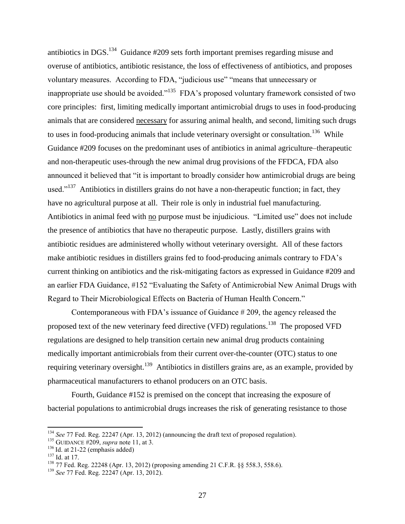antibiotics in DGS. $^{134}$  Guidance #209 sets forth important premises regarding misuse and overuse of antibiotics, antibiotic resistance, the loss of effectiveness of antibiotics, and proposes voluntary measures. According to FDA, "judicious use" "means that unnecessary or inappropriate use should be avoided."<sup>135</sup> FDA's proposed voluntary framework consisted of two core principles: first, limiting medically important antimicrobial drugs to uses in food-producing animals that are considered necessary for assuring animal health, and second, limiting such drugs to uses in food-producing animals that include veterinary oversight or consultation.<sup>136</sup> While Guidance #209 focuses on the predominant uses of antibiotics in animal agriculture–therapeutic and non-therapeutic uses-through the new animal drug provisions of the FFDCA, FDA also announced it believed that "it is important to broadly consider how antimicrobial drugs are being used."<sup>137</sup> Antibiotics in distillers grains do not have a non-therapeutic function; in fact, they have no agricultural purpose at all. Their role is only in industrial fuel manufacturing. Antibiotics in animal feed with no purpose must be injudicious. "Limited use" does not include the presence of antibiotics that have no therapeutic purpose. Lastly, distillers grains with antibiotic residues are administered wholly without veterinary oversight. All of these factors make antibiotic residues in distillers grains fed to food-producing animals contrary to FDA's current thinking on antibiotics and the risk-mitigating factors as expressed in Guidance #209 and an earlier FDA Guidance, #152 "Evaluating the Safety of Antimicrobial New Animal Drugs with Regard to Their Microbiological Effects on Bacteria of Human Health Concern."

Contemporaneous with FDA's issuance of Guidance # 209, the agency released the proposed text of the new veterinary feed directive (VFD) regulations.<sup>138</sup> The proposed VFD regulations are designed to help transition certain new animal drug products containing medically important antimicrobials from their current over-the-counter (OTC) status to one requiring veterinary oversight.<sup>139</sup> Antibiotics in distillers grains are, as an example, provided by pharmaceutical manufacturers to ethanol producers on an OTC basis.

Fourth, Guidance #152 is premised on the concept that increasing the exposure of bacterial populations to antimicrobial drugs increases the risk of generating resistance to those

 $\overline{\phantom{a}}$ 

<sup>134</sup> *See* 77 Fed. Reg. 22247 (Apr. 13, 2012) (announcing the draft text of proposed regulation).

<sup>135</sup> GUIDANCE #209, *supra* note 11, at 3.

 $136$  Id. at 21-22 (emphasis added)

<sup>137</sup> Id. at 17.

<sup>138</sup> 77 Fed. Reg. 22248 (Apr. 13, 2012) (proposing amending 21 C.F.R. §§ 558.3, 558.6).

<sup>139</sup> *See* 77 Fed. Reg. 22247 (Apr. 13, 2012).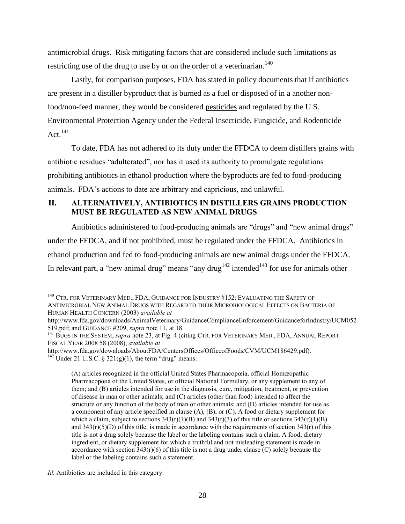antimicrobial drugs. Risk mitigating factors that are considered include such limitations as restricting use of the drug to use by or on the order of a veterinarian.<sup>140</sup>

Lastly, for comparison purposes, FDA has stated in policy documents that if antibiotics are present in a distiller byproduct that is burned as a fuel or disposed of in a another nonfood/non-feed manner, they would be considered pesticides and regulated by the U.S. Environmental Protection Agency under the Federal Insecticide, Fungicide, and Rodenticide Act. $^{141}$ 

To date, FDA has not adhered to its duty under the FFDCA to deem distillers grains with antibiotic residues "adulterated", nor has it used its authority to promulgate regulations prohibiting antibiotics in ethanol production where the byproducts are fed to food-producing animals. FDA's actions to date are arbitrary and capricious, and unlawful.

# <span id="page-30-0"></span>**II. ALTERNATIVELY, ANTIBIOTICS IN DISTILLERS GRAINS PRODUCTION MUST BE REGULATED AS NEW ANIMAL DRUGS**

Antibiotics administered to food-producing animals are "drugs" and "new animal drugs" under the FFDCA, and if not prohibited, must be regulated under the FFDCA. Antibiotics in ethanol production and fed to food-producing animals are new animal drugs under the FFDCA. In relevant part, a "new animal drug" means "any drug<sup>142</sup> intended<sup>143</sup> for use for animals other

http://www.fda.gov/downloads/AnimalVeterinary/GuidanceComplianceEnforcement/GuidanceforIndustry/UCM052 519.pdf; and GUIDANCE #209, *supra* note 11, at 18.

(A) articles recognized in the official United States Pharmacopœia, official Homœopathic Pharmacopœia of the United States, or official National Formulary, or any supplement to any of them; and (B) articles intended for use in the diagnosis, cure, mitigation, treatment, or prevention of disease in man or other animals; and (C) articles (other than food) intended to affect the structure or any function of the body of man or other animals; and (D) articles intended for use as a component of any article specified in clause (A), (B), or (C). A food or dietary supplement for which a claim, subject to sections  $343(r)(1)(B)$  and  $343(r)(3)$  of this title or sections  $343(r)(1)(B)$ and  $343(r)(5)(D)$  of this title, is made in accordance with the requirements of section  $343(r)$  of this title is not a drug solely because the label or the labeling contains such a claim. A food, dietary ingredient, or dietary supplement for which a truthful and not misleading statement is made in accordance with section  $343(r)(6)$  of this title is not a drug under clause (C) solely because the label or the labeling contains such a statement.

 $\overline{\phantom{a}}$  $^{140}$  Ctr. for Veterinary Med., FDA, Guidance for Industry #152: Evaluating the Safety of ANTIMICROBIAL NEW ANIMAL DRUGS WITH REGARD TO THEIR MICROBIOLOGICAL EFFECTS ON BACTERIA OF HUMAN HEALTH CONCERN (2003) *available at*

<sup>&</sup>lt;sup>141</sup> BUGS IN THE SYSTEM, *supra* note 23, at Fig. 4 (citing CTR. FOR VETERINARY MED., FDA, ANNUAL REPORT FISCAL YEAR 2008 58 (2008), *available at*

http://www.fda.gov/downloads/AboutFDA/CentersOffices/OfficeofFoods/CVM/UCM186429.pdf).  $^{142}$ Under 21 U.S.C. § 321(g)(1), the term "drug" means:

*Id.* Antibiotics are included in this category.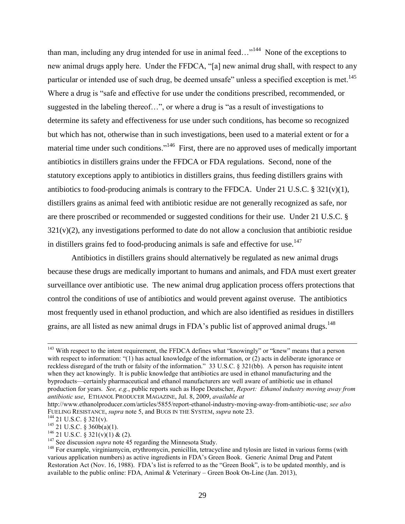than man, including any drug intended for use in animal feed..."<sup>144</sup> None of the exceptions to new animal drugs apply here. Under the FFDCA, "[a] new animal drug shall, with respect to any particular or intended use of such drug, be deemed unsafe" unless a specified exception is met.<sup>145</sup> Where a drug is "safe and effective for use under the conditions prescribed, recommended, or suggested in the labeling thereof…", or where a drug is "as a result of investigations to determine its safety and effectiveness for use under such conditions, has become so recognized but which has not, otherwise than in such investigations, been used to a material extent or for a material time under such conditions."<sup>146</sup> First, there are no approved uses of medically important antibiotics in distillers grains under the FFDCA or FDA regulations. Second, none of the statutory exceptions apply to antibiotics in distillers grains, thus feeding distillers grains with antibiotics to food-producing animals is contrary to the FFDCA. Under 21 U.S.C.  $\S 321(v)(1)$ , distillers grains as animal feed with antibiotic residue are not generally recognized as safe, nor are there proscribed or recommended or suggested conditions for their use. Under 21 U.S.C. §  $321(v)(2)$ , any investigations performed to date do not allow a conclusion that antibiotic residue in distillers grains fed to food-producing animals is safe and effective for use.<sup>147</sup>

Antibiotics in distillers grains should alternatively be regulated as new animal drugs because these drugs are medically important to humans and animals, and FDA must exert greater surveillance over antibiotic use. The new animal drug application process offers protections that control the conditions of use of antibiotics and would prevent against overuse. The antibiotics most frequently used in ethanol production, and which are also identified as residues in distillers grains, are all listed as new animal drugs in FDA's public list of approved animal drugs.<sup>148</sup>

l

<sup>&</sup>lt;sup>143</sup> With respect to the intent requirement, the FFDCA defines what "knowingly" or "knew" means that a person with respect to information: "(1) has actual knowledge of the information, or (2) acts in deliberate ignorance or reckless disregard of the truth or falsity of the information." 33 U.S.C. § 321(bb). A person has requisite intent when they act knowingly. It is public knowledge that antibiotics are used in ethanol manufacturing and the byproducts—certainly pharmaceutical and ethanol manufacturers are well aware of antibiotic use in ethanol production for years. *See, e.g.*, public reports such as Hope Deutscher, *Report: Ethanol industry moving away from antibiotic use*, ETHANOL PRODUCER MAGAZINE, Jul. 8, 2009, *available at* 

http://www.ethanolproducer.com/articles/5855/report-ethanol-industry-moving-away-from-antibiotic-use; *see also*  FUELING RESISTANCE, *supra* note 5, and BUGS IN THE SYSTEM, *supra* note 23.

 $144$  21 U.S.C. § 321(v).

 $145$  21 U.S.C. § 360b(a)(1).

 $146$  21 U.S.C. § 321(v)(1) & (2).

<sup>&</sup>lt;sup>147</sup> See discussion *supra* note 45 regarding the Minnesota Study.

<sup>&</sup>lt;sup>148</sup> For example, virginiamycin, erythromycin, penicillin, tetracycline and tylosin are listed in various forms (with various application numbers) as active ingredients in FDA's Green Book. Generic Animal Drug and Patent Restoration Act (Nov. 16, 1988). FDA's list is referred to as the "Green Book", is to be updated monthly, and is available to the public online: FDA, Animal & Veterinary – Green Book On-Line (Jan. 2013),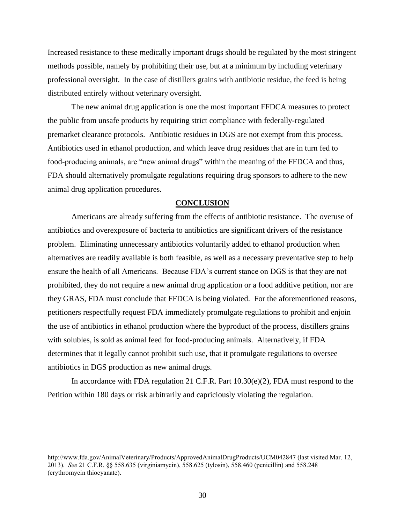Increased resistance to these medically important drugs should be regulated by the most stringent methods possible, namely by prohibiting their use, but at a minimum by including veterinary professional oversight. In the case of distillers grains with antibiotic residue, the feed is being distributed entirely without veterinary oversight.

The new animal drug application is one the most important FFDCA measures to protect the public from unsafe products by requiring strict compliance with federally-regulated premarket clearance protocols. Antibiotic residues in DGS are not exempt from this process. Antibiotics used in ethanol production, and which leave drug residues that are in turn fed to food-producing animals, are "new animal drugs" within the meaning of the FFDCA and thus, FDA should alternatively promulgate regulations requiring drug sponsors to adhere to the new animal drug application procedures.

#### **CONCLUSION**

<span id="page-32-0"></span>Americans are already suffering from the effects of antibiotic resistance. The overuse of antibiotics and overexposure of bacteria to antibiotics are significant drivers of the resistance problem. Eliminating unnecessary antibiotics voluntarily added to ethanol production when alternatives are readily available is both feasible, as well as a necessary preventative step to help ensure the health of all Americans. Because FDA's current stance on DGS is that they are not prohibited, they do not require a new animal drug application or a food additive petition, nor are they GRAS, FDA must conclude that FFDCA is being violated. For the aforementioned reasons, petitioners respectfully request FDA immediately promulgate regulations to prohibit and enjoin the use of antibiotics in ethanol production where the byproduct of the process, distillers grains with solubles, is sold as animal feed for food-producing animals. Alternatively, if FDA determines that it legally cannot prohibit such use, that it promulgate regulations to oversee antibiotics in DGS production as new animal drugs.

In accordance with FDA regulation 21 C.F.R. Part 10.30(e)(2), FDA must respond to the Petition within 180 days or risk arbitrarily and capriciously violating the regulation.

 $\overline{\phantom{a}}$ 

http://www.fda.gov/AnimalVeterinary/Products/ApprovedAnimalDrugProducts/UCM042847 (last visited Mar. 12, 2013). *See* 21 C.F.R. §§ 558.635 (virginiamycin), 558.625 (tylosin), 558.460 (penicillin) and 558.248 (erythromycin thiocyanate).